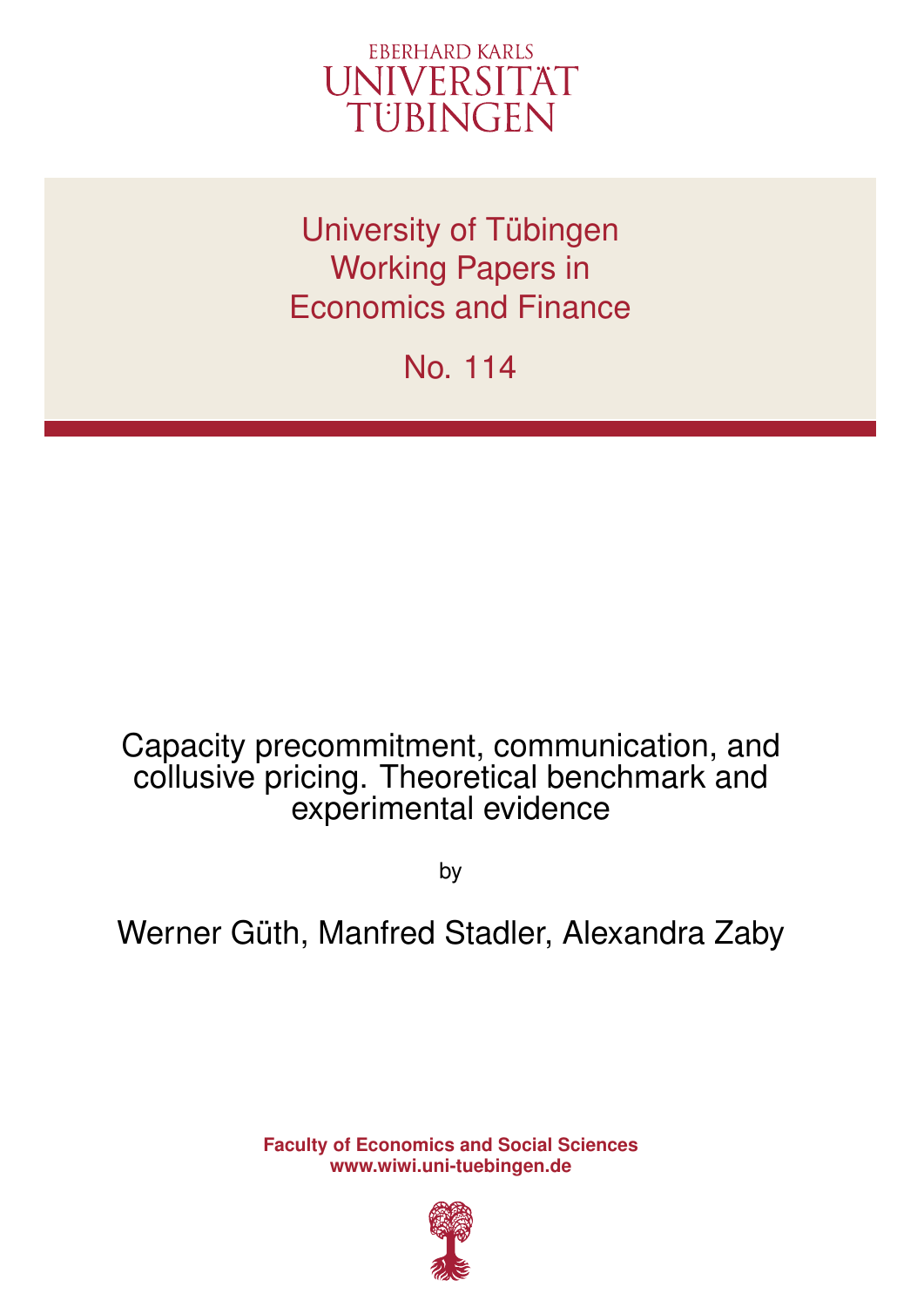

University of Tübingen Working Papers in Economics and Finance

No. 114

## Capacity precommitment, communication, and collusive pricing. Theoretical benchmark and experimental evidence

by

# Werner Güth, Manfred Stadler, Alexandra Zaby

**Faculty of Economics and Social Sciences www.wiwi.uni-tuebingen.de**

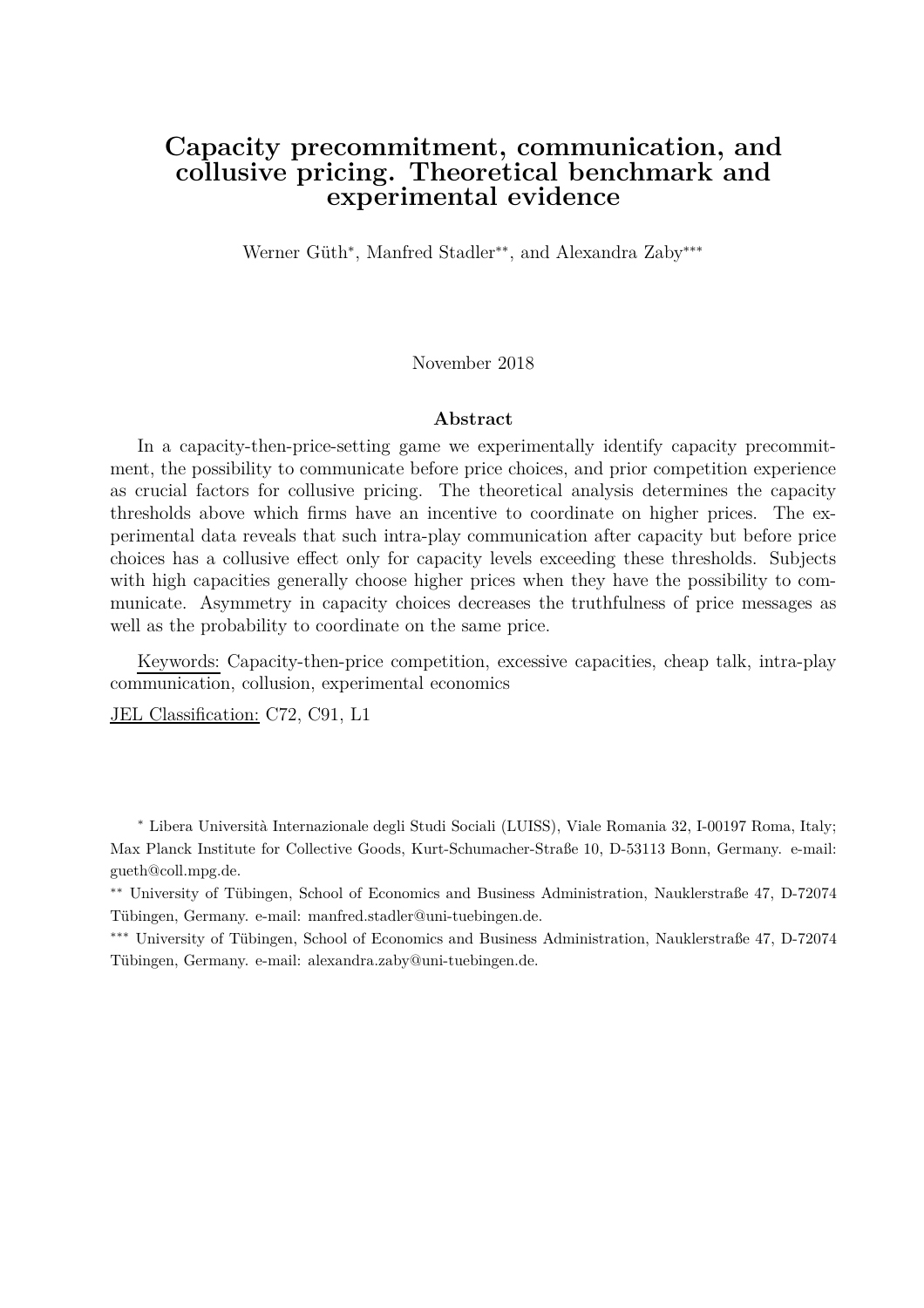### **Capacity precommitment, communication, and collusive pricing. Theoretical benchmark and experimental evidence**

Werner Güth<sup>∗</sup> , Manfred Stadler∗∗, and Alexandra Zaby∗∗∗

November 2018

#### **Abstract**

In a capacity-then-price-setting game we experimentally identify capacity precommitment, the possibility to communicate before price choices, and prior competition experience as crucial factors for collusive pricing. The theoretical analysis determines the capacity thresholds above which firms have an incentive to coordinate on higher prices. The experimental data reveals that such intra-play communication after capacity but before price choices has a collusive effect only for capacity levels exceeding these thresholds. Subjects with high capacities generally choose higher prices when they have the possibility to communicate. Asymmetry in capacity choices decreases the truthfulness of price messages as well as the probability to coordinate on the same price.

Keywords: Capacity-then-price competition, excessive capacities, cheap talk, intra-play communication, collusion, experimental economics

JEL Classification: C72, C91, L1

<sup>∗</sup> Libera Università Internazionale degli Studi Sociali (LUISS), Viale Romania 32, I-00197 Roma, Italy; Max Planck Institute for Collective Goods, Kurt-Schumacher-Straße 10, D-53113 Bonn, Germany. e-mail: gueth@coll.mpg.de.

∗∗ University of Tübingen, School of Economics and Business Administration, Nauklerstraße 47, D-72074 Tübingen, Germany. e-mail: manfred.stadler@uni-tuebingen.de.

∗∗∗ University of Tübingen, School of Economics and Business Administration, Nauklerstraße 47, D-72074 Tübingen, Germany. e-mail: alexandra.zaby@uni-tuebingen.de.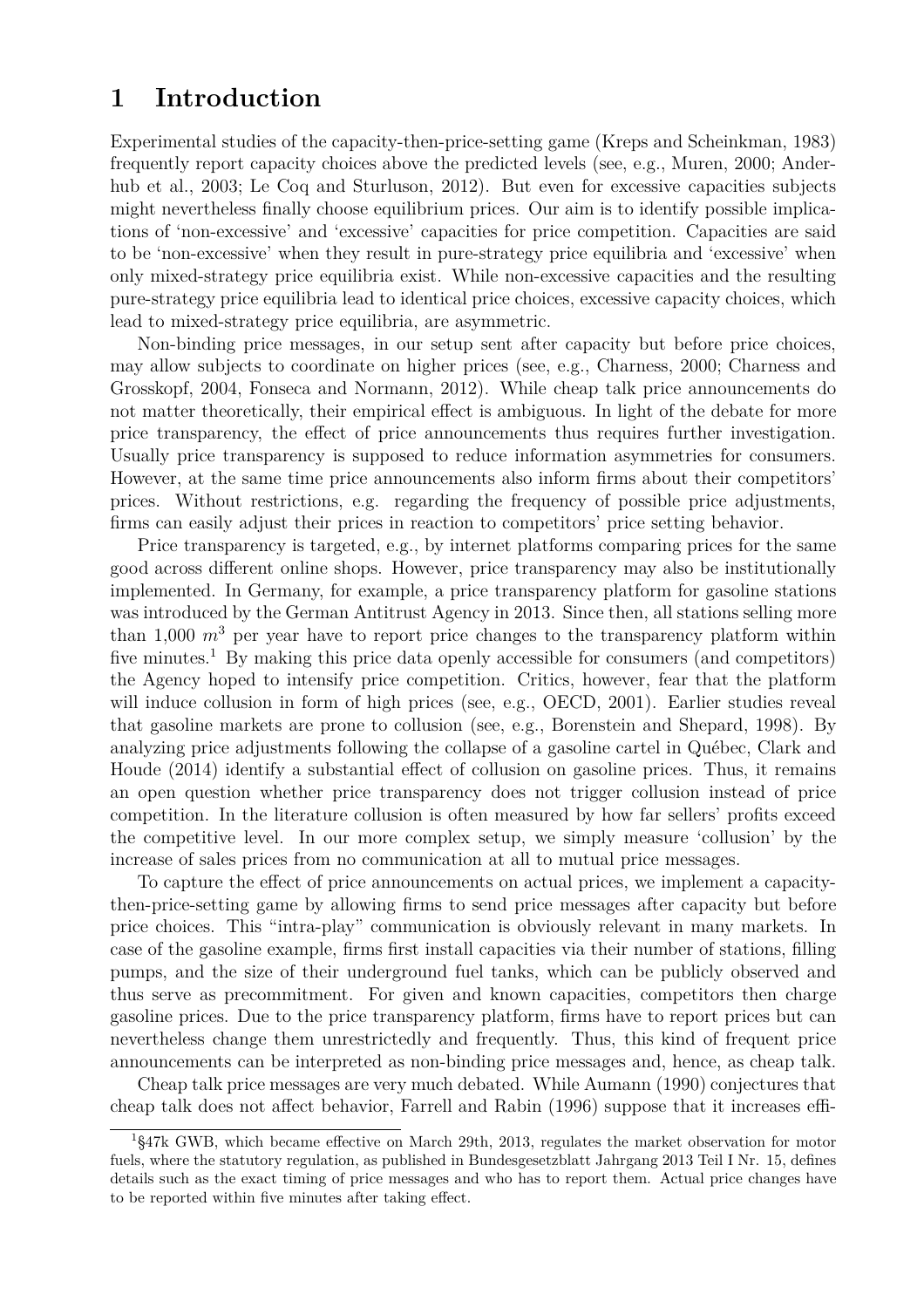### **1 Introduction**

Experimental studies of the capacity-then-price-setting game (Kreps and Scheinkman, 1983) frequently report capacity choices above the predicted levels (see, e.g., Muren, 2000; Anderhub et al., 2003; Le Coq and Sturluson, 2012). But even for excessive capacities subjects might nevertheless finally choose equilibrium prices. Our aim is to identify possible implications of 'non-excessive' and 'excessive' capacities for price competition. Capacities are said to be 'non-excessive' when they result in pure-strategy price equilibria and 'excessive' when only mixed-strategy price equilibria exist. While non-excessive capacities and the resulting pure-strategy price equilibria lead to identical price choices, excessive capacity choices, which lead to mixed-strategy price equilibria, are asymmetric.

Non-binding price messages, in our setup sent after capacity but before price choices, may allow subjects to coordinate on higher prices (see, e.g., Charness, 2000; Charness and Grosskopf, 2004, Fonseca and Normann, 2012). While cheap talk price announcements do not matter theoretically, their empirical effect is ambiguous. In light of the debate for more price transparency, the effect of price announcements thus requires further investigation. Usually price transparency is supposed to reduce information asymmetries for consumers. However, at the same time price announcements also inform firms about their competitors' prices. Without restrictions, e.g. regarding the frequency of possible price adjustments, firms can easily adjust their prices in reaction to competitors' price setting behavior.

Price transparency is targeted, e.g., by internet platforms comparing prices for the same good across different online shops. However, price transparency may also be institutionally implemented. In Germany, for example, a price transparency platform for gasoline stations was introduced by the German Antitrust Agency in 2013. Since then, all stations selling more than 1,000  $m<sup>3</sup>$  per year have to report price changes to the transparency platform within five minutes.<sup>1</sup> By making this price data openly accessible for consumers (and competitors) the Agency hoped to intensify price competition. Critics, however, fear that the platform will induce collusion in form of high prices (see, e.g., OECD, 2001). Earlier studies reveal that gasoline markets are prone to collusion (see, e.g., Borenstein and Shepard, 1998). By analyzing price adjustments following the collapse of a gasoline cartel in Québec, Clark and Houde (2014) identify a substantial effect of collusion on gasoline prices. Thus, it remains an open question whether price transparency does not trigger collusion instead of price competition. In the literature collusion is often measured by how far sellers' profits exceed the competitive level. In our more complex setup, we simply measure 'collusion' by the increase of sales prices from no communication at all to mutual price messages.

To capture the effect of price announcements on actual prices, we implement a capacitythen-price-setting game by allowing firms to send price messages after capacity but before price choices. This "intra-play" communication is obviously relevant in many markets. In case of the gasoline example, firms first install capacities via their number of stations, filling pumps, and the size of their underground fuel tanks, which can be publicly observed and thus serve as precommitment. For given and known capacities, competitors then charge gasoline prices. Due to the price transparency platform, firms have to report prices but can nevertheless change them unrestrictedly and frequently. Thus, this kind of frequent price announcements can be interpreted as non-binding price messages and, hence, as cheap talk.

Cheap talk price messages are very much debated. While Aumann (1990) conjectures that cheap talk does not affect behavior, Farrell and Rabin (1996) suppose that it increases effi-

<sup>1</sup>§47k GWB, which became effective on March 29th, 2013, regulates the market observation for motor fuels, where the statutory regulation, as published in Bundesgesetzblatt Jahrgang 2013 Teil I Nr. 15, defines details such as the exact timing of price messages and who has to report them. Actual price changes have to be reported within five minutes after taking effect.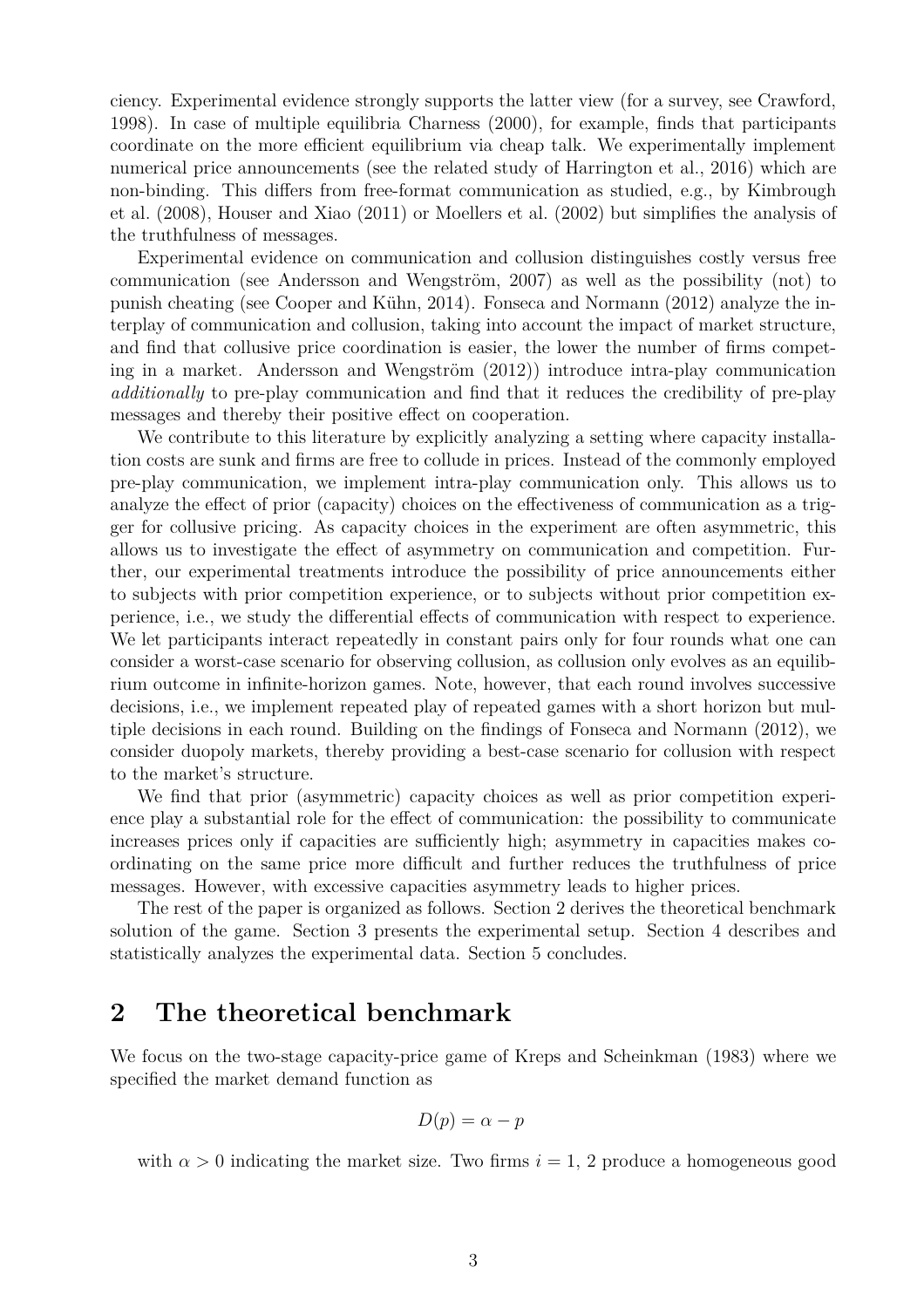ciency. Experimental evidence strongly supports the latter view (for a survey, see Crawford, 1998). In case of multiple equilibria Charness (2000), for example, finds that participants coordinate on the more efficient equilibrium via cheap talk. We experimentally implement numerical price announcements (see the related study of Harrington et al., 2016) which are non-binding. This differs from free-format communication as studied, e.g., by Kimbrough et al. (2008), Houser and Xiao (2011) or Moellers et al. (2002) but simplifies the analysis of the truthfulness of messages.

Experimental evidence on communication and collusion distinguishes costly versus free communication (see Andersson and Wengström, 2007) as well as the possibility (not) to punish cheating (see Cooper and Kühn, 2014). Fonseca and Normann (2012) analyze the interplay of communication and collusion, taking into account the impact of market structure, and find that collusive price coordination is easier, the lower the number of firms competing in a market. Andersson and Wengström (2012)) introduce intra-play communication *additionally* to pre-play communication and find that it reduces the credibility of pre-play messages and thereby their positive effect on cooperation.

We contribute to this literature by explicitly analyzing a setting where capacity installation costs are sunk and firms are free to collude in prices. Instead of the commonly employed pre-play communication, we implement intra-play communication only. This allows us to analyze the effect of prior (capacity) choices on the effectiveness of communication as a trigger for collusive pricing. As capacity choices in the experiment are often asymmetric, this allows us to investigate the effect of asymmetry on communication and competition. Further, our experimental treatments introduce the possibility of price announcements either to subjects with prior competition experience, or to subjects without prior competition experience, i.e., we study the differential effects of communication with respect to experience. We let participants interact repeatedly in constant pairs only for four rounds what one can consider a worst-case scenario for observing collusion, as collusion only evolves as an equilibrium outcome in infinite-horizon games. Note, however, that each round involves successive decisions, i.e., we implement repeated play of repeated games with a short horizon but multiple decisions in each round. Building on the findings of Fonseca and Normann (2012), we consider duopoly markets, thereby providing a best-case scenario for collusion with respect to the market's structure.

We find that prior (asymmetric) capacity choices as well as prior competition experience play a substantial role for the effect of communication: the possibility to communicate increases prices only if capacities are sufficiently high; asymmetry in capacities makes coordinating on the same price more difficult and further reduces the truthfulness of price messages. However, with excessive capacities asymmetry leads to higher prices.

The rest of the paper is organized as follows. Section 2 derives the theoretical benchmark solution of the game. Section 3 presents the experimental setup. Section 4 describes and statistically analyzes the experimental data. Section 5 concludes.

### **2 The theoretical benchmark**

We focus on the two-stage capacity-price game of Kreps and Scheinkman (1983) where we specified the market demand function as

$$
D(p) = \alpha - p
$$

with  $\alpha > 0$  indicating the market size. Two firms  $i = 1, 2$  produce a homogeneous good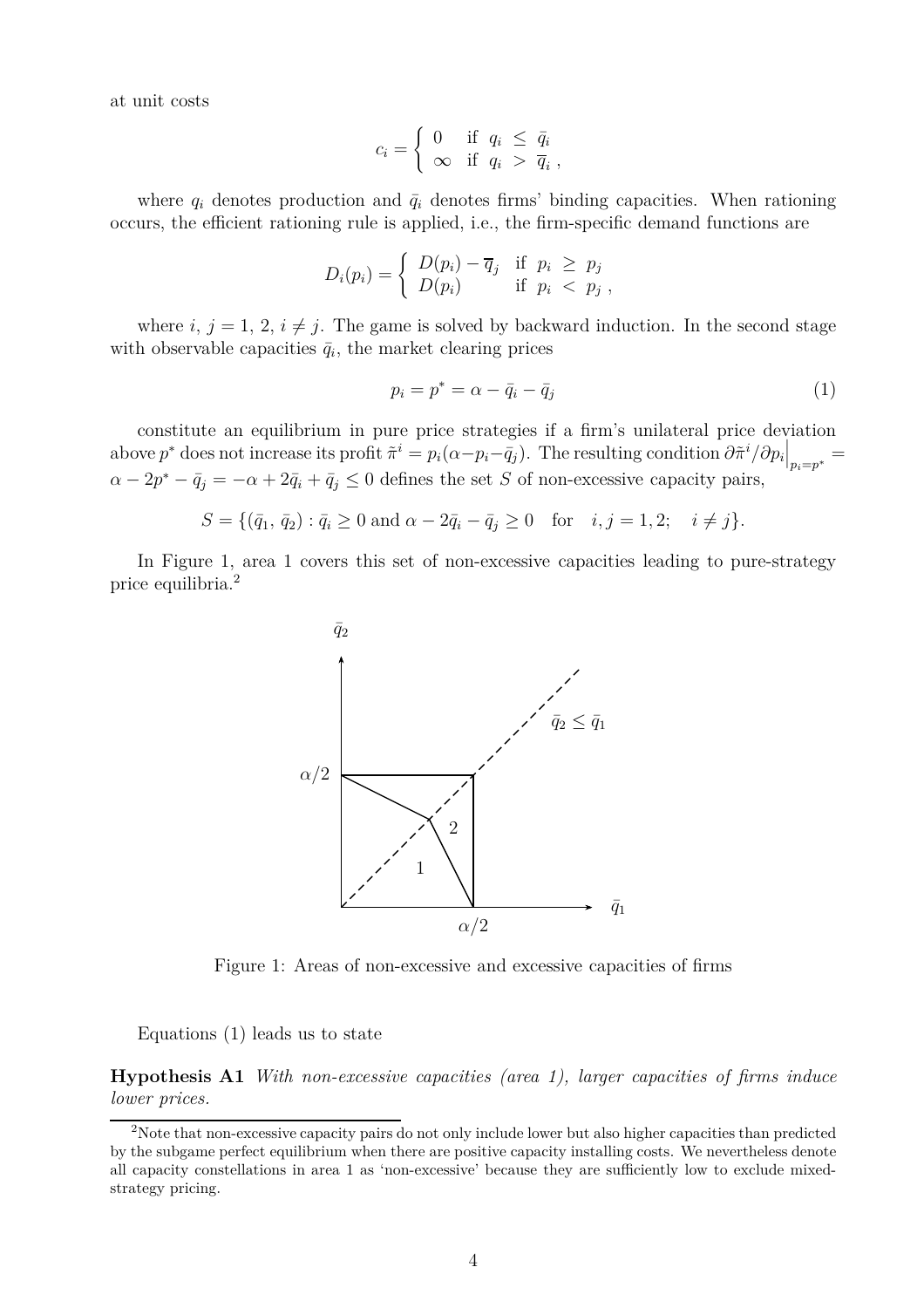at unit costs

$$
c_i = \begin{cases} 0 & \text{if } q_i \leq \bar{q}_i \\ \infty & \text{if } q_i > \bar{q}_i \end{cases}
$$

where  $q_i$  denotes production and  $\bar{q}_i$  denotes firms' binding capacities. When rationing occurs, the efficient rationing rule is applied, i.e., the firm-specific demand functions are

$$
D_i(p_i) = \begin{cases} D(p_i) - \overline{q}_j & \text{if } p_i \geq p_j \\ D(p_i) & \text{if } p_i < p_j \end{cases}
$$

where *i*,  $j = 1, 2, i \neq j$ . The game is solved by backward induction. In the second stage with observable capacities  $\bar{q}_i$ , the market clearing prices

$$
p_i = p^* = \alpha - \bar{q}_i - \bar{q}_j \tag{1}
$$

constitute an equilibrium in pure price strategies if a firm's unilateral price deviation above  $p^*$  does not increase its profit  $\tilde{\pi}^i = p_i(\alpha - p_i - \bar{q}_j)$ . The resulting condition  $\partial \tilde{\pi}^i / \partial p_i \Big|_{p_i = p^*} =$  $\alpha - 2p^* - \bar{q}_j = -\alpha + 2\bar{q}_i + \bar{q}_j \leq 0$  defines the set *S* of non-excessive capacity pairs,

 $S = \{(\bar{q}_1, \bar{q}_2) : \bar{q}_i \ge 0 \text{ and } \alpha - 2\bar{q}_i - \bar{q}_j \ge 0 \text{ for } i, j = 1, 2; i \ne j\}.$ 

In Figure 1, area 1 covers this set of non-excessive capacities leading to pure-strategy price equilibria.<sup>2</sup>



Figure 1: Areas of non-excessive and excessive capacities of firms

Equations (1) leads us to state

**Hypothesis A1** *With non-excessive capacities (area 1), larger capacities of firms induce lower prices.*

<sup>2</sup>Note that non-excessive capacity pairs do not only include lower but also higher capacities than predicted by the subgame perfect equilibrium when there are positive capacity installing costs. We nevertheless denote all capacity constellations in area 1 as 'non-excessive' because they are sufficiently low to exclude mixedstrategy pricing.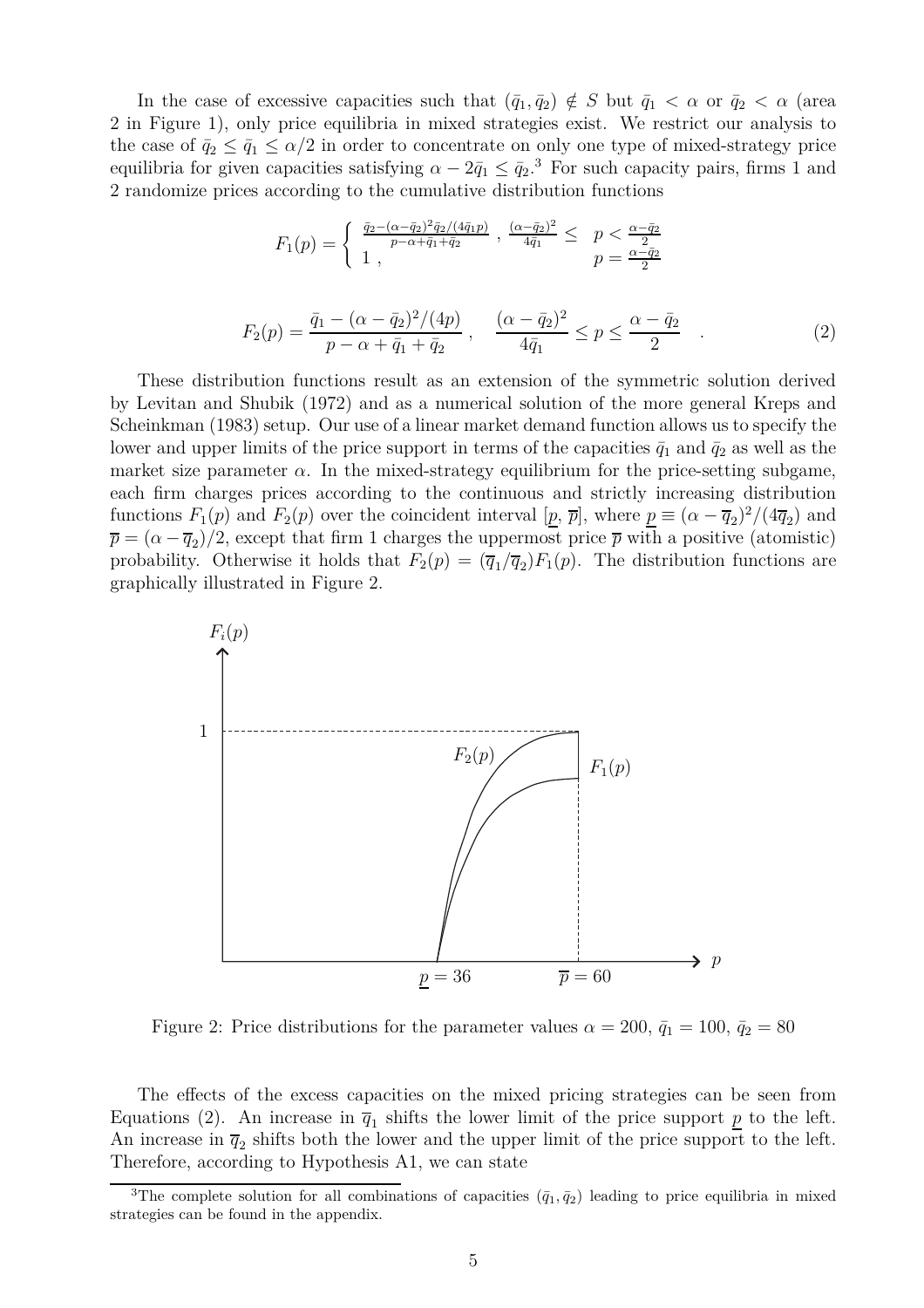In the case of excessive capacities such that  $(\bar{q}_1, \bar{q}_2) \notin S$  but  $\bar{q}_1 < \alpha$  or  $\bar{q}_2 < \alpha$  (area 2 in Figure 1), only price equilibria in mixed strategies exist. We restrict our analysis to the case of  $\bar{q}_2 \leq \bar{q}_1 \leq \alpha/2$  in order to concentrate on only one type of mixed-strategy price equilibria for given capacities satisfying  $\alpha - 2\bar{q}_1 \leq \bar{q}_2$ .<sup>3</sup> For such capacity pairs, firms 1 and 2 randomize prices according to the cumulative distribution functions

$$
F_1(p) = \begin{cases} \frac{\bar{q}_2 - (\alpha - \bar{q}_2)^2 \bar{q}_2/(4\bar{q}_1 p)}{p - \alpha + \bar{q}_1 + \bar{q}_2} , \frac{(\alpha - \bar{q}_2)^2}{4\bar{q}_1} \leq p < \frac{\alpha - \bar{q}_2}{2} \\ 1, & p = \frac{\alpha - \bar{q}_2}{2} \end{cases}
$$
\n
$$
F_2(p) = \frac{\bar{q}_1 - (\alpha - \bar{q}_2)^2/(4p)}{p - \alpha + \bar{q}_1 + \bar{q}_2} , \quad \frac{(\alpha - \bar{q}_2)^2}{4\bar{q}_1} \leq p \leq \frac{\alpha - \bar{q}_2}{2} . \tag{2}
$$

These distribution functions result as an extension of the symmetric solution derived by Levitan and Shubik (1972) and as a numerical solution of the more general Kreps and Scheinkman (1983) setup. Our use of a linear market demand function allows us to specify the lower and upper limits of the price support in terms of the capacities  $\bar{q}_1$  and  $\bar{q}_2$  as well as the market size parameter  $\alpha$ . In the mixed-strategy equilibrium for the price-setting subgame, each firm charges prices according to the continuous and strictly increasing distribution functions  $F_1(p)$  and  $F_2(p)$  over the coincident interval  $[p, \bar{p}]$ , where  $\underline{p} \equiv (\alpha - \overline{q}_2)^2/(4\overline{q}_2)$  and  $\overline{p} = (\alpha - \overline{q}_2)/2$ , except that firm 1 charges the uppermost price  $\overline{p}$  with a positive (atomistic) probability. Otherwise it holds that  $F_2(p) = (\overline{q}_1/\overline{q}_2)F_1(p)$ . The distribution functions are graphically illustrated in Figure 2.



Figure 2: Price distributions for the parameter values  $\alpha = 200$ ,  $\bar{q}_1 = 100$ ,  $\bar{q}_2 = 80$ 

The effects of the excess capacities on the mixed pricing strategies can be seen from Equations (2). An increase in  $\overline{q}_1$  shifts the lower limit of the price support  $\underline{p}$  to the left. An increase in  $\overline{q}_2$  shifts both the lower and the upper limit of the price support to the left. Therefore, according to Hypothesis A1, we can state

<sup>&</sup>lt;sup>3</sup>The complete solution for all combinations of capacities  $(\bar{q}_1, \bar{q}_2)$  leading to price equilibria in mixed strategies can be found in the appendix.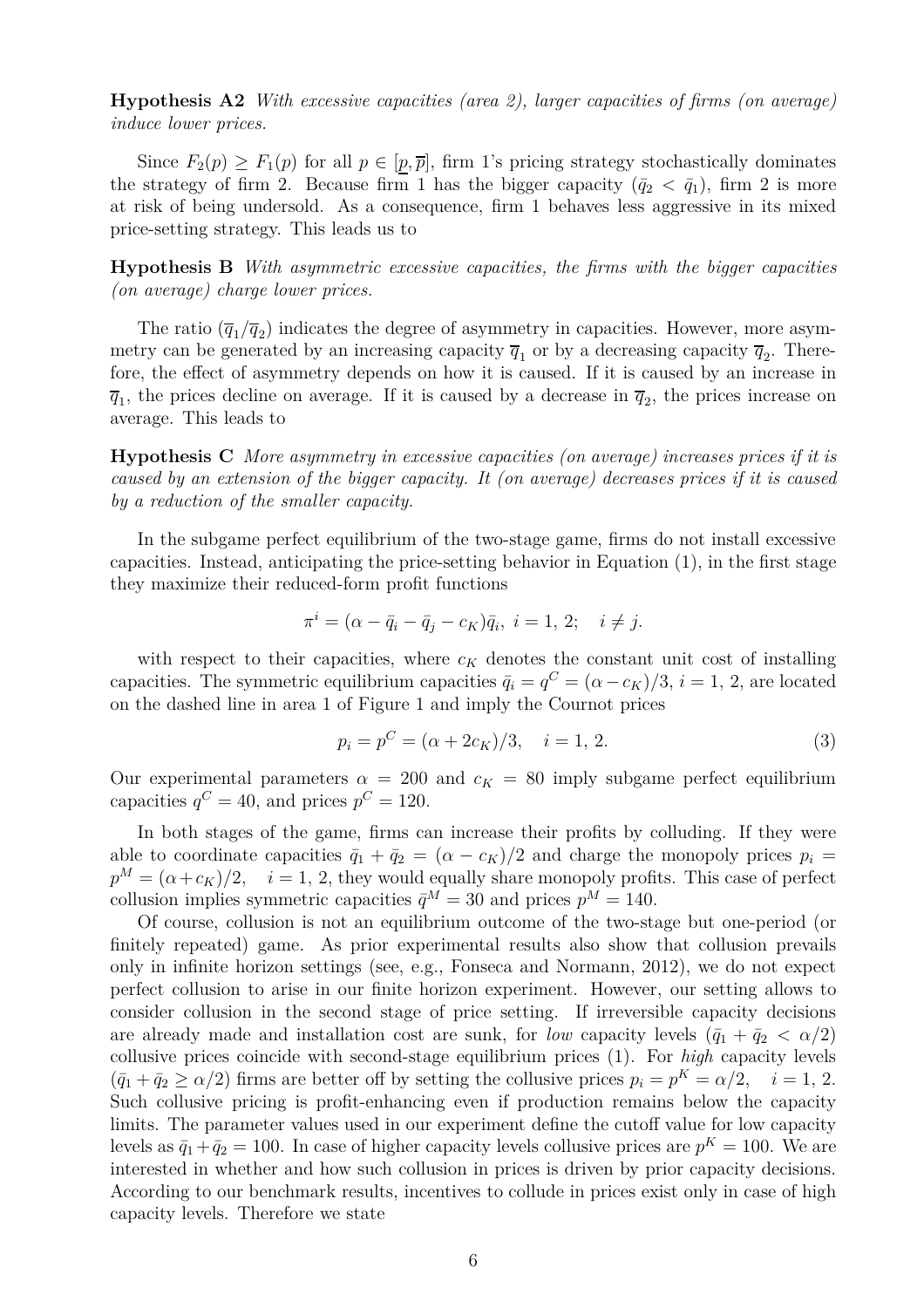**Hypothesis A2** *With excessive capacities (area 2), larger capacities of firms (on average) induce lower prices.*

Since  $F_2(p) \geq F_1(p)$  for all  $p \in [p, \overline{p}]$ , firm 1's pricing strategy stochastically dominates the strategy of firm 2. Because firm 1 has the bigger capacity  $(\bar{q}_2 < \bar{q}_1)$ , firm 2 is more at risk of being undersold. As a consequence, firm 1 behaves less aggressive in its mixed price-setting strategy. This leads us to

**Hypothesis B** *With asymmetric excessive capacities, the firms with the bigger capacities (on average) charge lower prices.*

The ratio  $(\overline{q}_1/\overline{q}_2)$  indicates the degree of asymmetry in capacities. However, more asymmetry can be generated by an increasing capacity  $\overline{q}_1$  or by a decreasing capacity  $\overline{q}_2$ . Therefore, the effect of asymmetry depends on how it is caused. If it is caused by an increase in  $\overline{q}_1$ , the prices decline on average. If it is caused by a decrease in  $\overline{q}_2$ , the prices increase on average. This leads to

**Hypothesis C** *More asymmetry in excessive capacities (on average) increases prices if it is caused by an extension of the bigger capacity. It (on average) decreases prices if it is caused by a reduction of the smaller capacity.*

In the subgame perfect equilibrium of the two-stage game, firms do not install excessive capacities. Instead, anticipating the price-setting behavior in Equation (1), in the first stage they maximize their reduced-form profit functions

$$
\pi^{i} = (\alpha - \bar{q}_{i} - \bar{q}_{j} - c_{K})\bar{q}_{i}, \ i = 1, 2; \ i \neq j.
$$

with respect to their capacities, where  $c_K$  denotes the constant unit cost of installing capacities. The symmetric equilibrium capacities  $\bar{q}_i = q^C = (\alpha - c_K)/3$ ,  $i = 1, 2$ , are located on the dashed line in area 1 of Figure 1 and imply the Cournot prices

$$
p_i = p^C = (\alpha + 2c_K)/3, \quad i = 1, 2. \tag{3}
$$

Our experimental parameters  $\alpha = 200$  and  $c_K = 80$  imply subgame perfect equilibrium capacities  $q^C = 40$ , and prices  $p^C = 120$ .

In both stages of the game, firms can increase their profits by colluding. If they were able to coordinate capacities  $\bar{q}_1 + \bar{q}_2 = (\alpha - c_K)/2$  and charge the monopoly prices  $p_i =$  $p^M = (\alpha + c_K)/2$ ,  $i = 1, 2$ , they would equally share monopoly profits. This case of perfect collusion implies symmetric capacities  $\bar{q}^M = 30$  and prices  $p^M = 140$ .

Of course, collusion is not an equilibrium outcome of the two-stage but one-period (or finitely repeated) game. As prior experimental results also show that collusion prevails only in infinite horizon settings (see, e.g., Fonseca and Normann, 2012), we do not expect perfect collusion to arise in our finite horizon experiment. However, our setting allows to consider collusion in the second stage of price setting. If irreversible capacity decisions are already made and installation cost are sunk, for *low* capacity levels  $(\bar{q}_1 + \bar{q}_2 < \alpha/2)$ collusive prices coincide with second-stage equilibrium prices (1). For *high* capacity levels  $(\bar{q}_1 + \bar{q}_2 \ge \alpha/2)$  firms are better off by setting the collusive prices  $p_i = p^K = \alpha/2$ ,  $i = 1, 2$ . Such collusive pricing is profit-enhancing even if production remains below the capacity limits. The parameter values used in our experiment define the cutoff value for low capacity levels as  $\bar{q}_1 + \bar{q}_2 = 100$ . In case of higher capacity levels collusive prices are  $p^K = 100$ . We are interested in whether and how such collusion in prices is driven by prior capacity decisions. According to our benchmark results, incentives to collude in prices exist only in case of high capacity levels. Therefore we state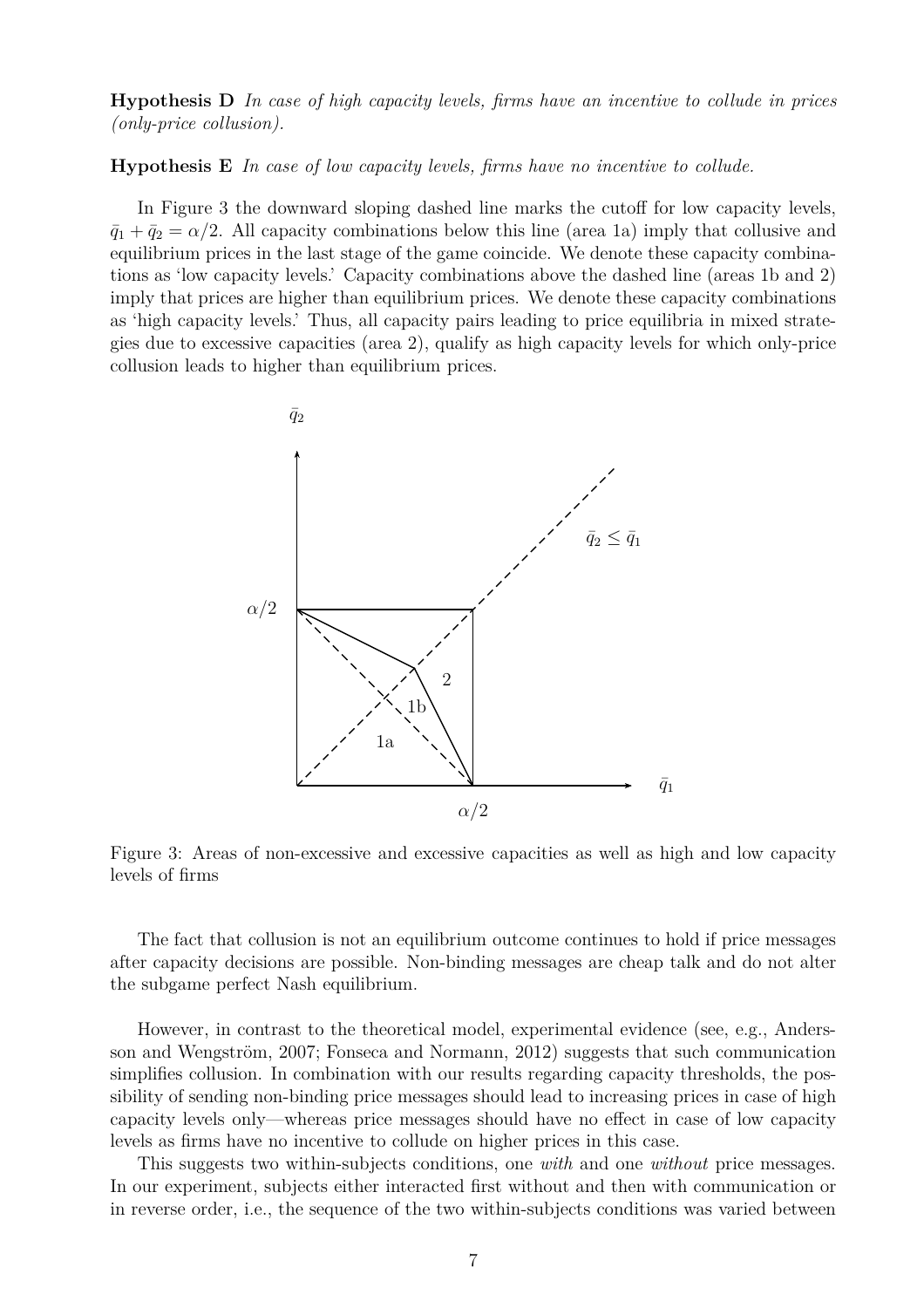**Hypothesis D** *In case of high capacity levels, firms have an incentive to collude in prices (only-price collusion).*

**Hypothesis E** *In case of low capacity levels, firms have no incentive to collude.*

In Figure 3 the downward sloping dashed line marks the cutoff for low capacity levels,  $\bar{q}_1 + \bar{q}_2 = \alpha/2$ . All capacity combinations below this line (area 1a) imply that collusive and equilibrium prices in the last stage of the game coincide. We denote these capacity combinations as 'low capacity levels.' Capacity combinations above the dashed line (areas 1b and 2) imply that prices are higher than equilibrium prices. We denote these capacity combinations as 'high capacity levels.' Thus, all capacity pairs leading to price equilibria in mixed strategies due to excessive capacities (area 2), qualify as high capacity levels for which only-price collusion leads to higher than equilibrium prices.



Figure 3: Areas of non-excessive and excessive capacities as well as high and low capacity levels of firms

The fact that collusion is not an equilibrium outcome continues to hold if price messages after capacity decisions are possible. Non-binding messages are cheap talk and do not alter the subgame perfect Nash equilibrium.

However, in contrast to the theoretical model, experimental evidence (see, e.g., Andersson and Wengström, 2007; Fonseca and Normann, 2012) suggests that such communication simplifies collusion. In combination with our results regarding capacity thresholds, the possibility of sending non-binding price messages should lead to increasing prices in case of high capacity levels only—whereas price messages should have no effect in case of low capacity levels as firms have no incentive to collude on higher prices in this case.

This suggests two within-subjects conditions, one *with* and one *without* price messages. In our experiment, subjects either interacted first without and then with communication or in reverse order, i.e., the sequence of the two within-subjects conditions was varied between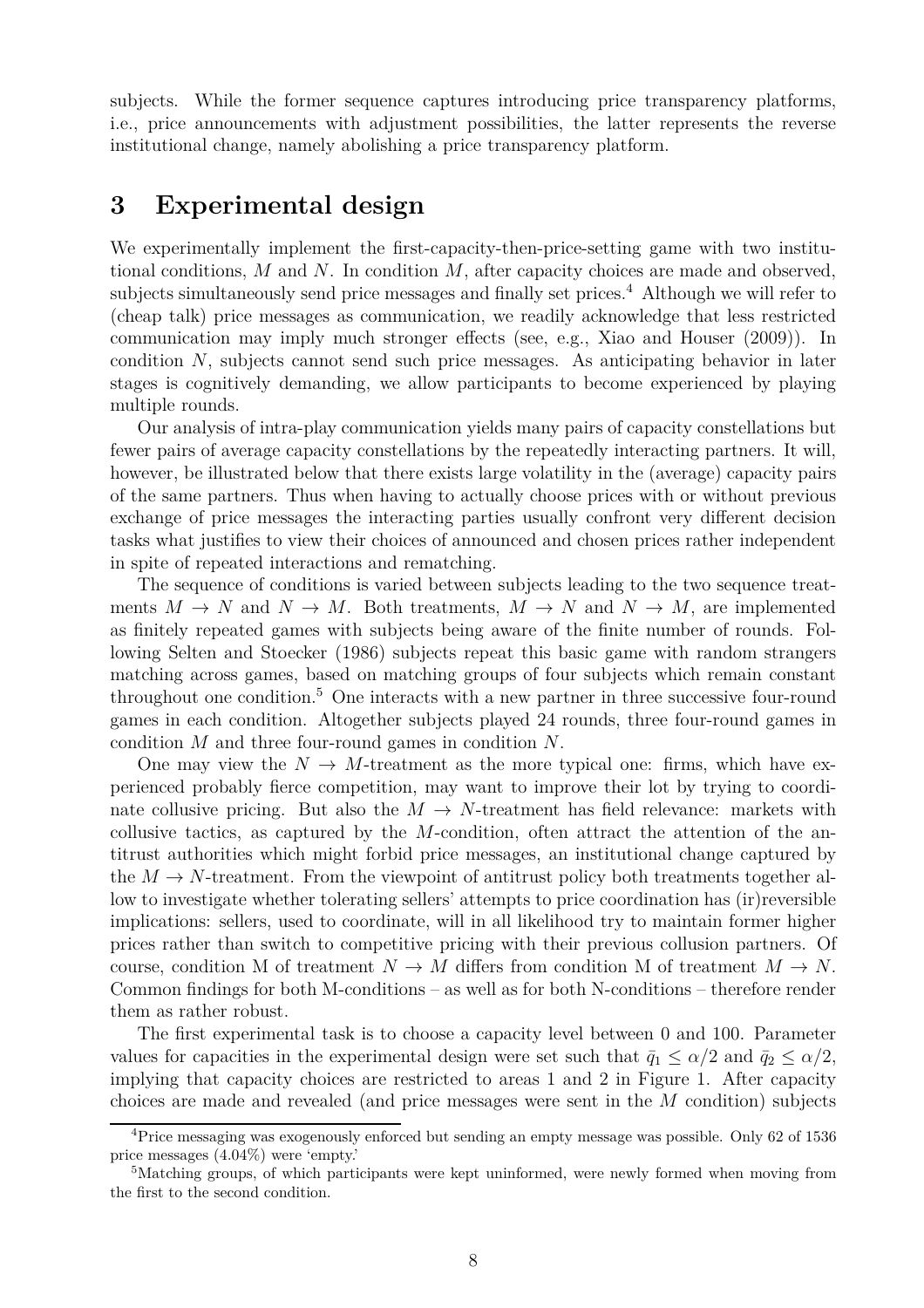subjects. While the former sequence captures introducing price transparency platforms, i.e., price announcements with adjustment possibilities, the latter represents the reverse institutional change, namely abolishing a price transparency platform.

### **3 Experimental design**

We experimentally implement the first-capacity-then-price-setting game with two institutional conditions, *M* and *N*. In condition *M*, after capacity choices are made and observed, subjects simultaneously send price messages and finally set prices.<sup>4</sup> Although we will refer to (cheap talk) price messages as communication, we readily acknowledge that less restricted communication may imply much stronger effects (see, e.g., Xiao and Houser (2009)). In condition *N*, subjects cannot send such price messages. As anticipating behavior in later stages is cognitively demanding, we allow participants to become experienced by playing multiple rounds.

Our analysis of intra-play communication yields many pairs of capacity constellations but fewer pairs of average capacity constellations by the repeatedly interacting partners. It will, however, be illustrated below that there exists large volatility in the (average) capacity pairs of the same partners. Thus when having to actually choose prices with or without previous exchange of price messages the interacting parties usually confront very different decision tasks what justifies to view their choices of announced and chosen prices rather independent in spite of repeated interactions and rematching.

The sequence of conditions is varied between subjects leading to the two sequence treatments  $M \to N$  and  $N \to M$ . Both treatments,  $M \to N$  and  $N \to M$ , are implemented as finitely repeated games with subjects being aware of the finite number of rounds. Following Selten and Stoecker (1986) subjects repeat this basic game with random strangers matching across games, based on matching groups of four subjects which remain constant throughout one condition.<sup>5</sup> One interacts with a new partner in three successive four-round games in each condition. Altogether subjects played 24 rounds, three four-round games in condition *M* and three four-round games in condition *N*.

One may view the  $N \to M$ -treatment as the more typical one: firms, which have experienced probably fierce competition, may want to improve their lot by trying to coordinate collusive pricing. But also the  $M \to N$ -treatment has field relevance: markets with collusive tactics, as captured by the *M*-condition, often attract the attention of the antitrust authorities which might forbid price messages, an institutional change captured by the  $M \to N$ -treatment. From the viewpoint of antitrust policy both treatments together allow to investigate whether tolerating sellers' attempts to price coordination has (ir)reversible implications: sellers, used to coordinate, will in all likelihood try to maintain former higher prices rather than switch to competitive pricing with their previous collusion partners. Of course, condition M of treatment  $N \to M$  differs from condition M of treatment  $M \to N$ . Common findings for both M-conditions – as well as for both N-conditions – therefore render them as rather robust.

The first experimental task is to choose a capacity level between 0 and 100. Parameter values for capacities in the experimental design were set such that  $\bar{q}_1 \leq \alpha/2$  and  $\bar{q}_2 \leq \alpha/2$ , implying that capacity choices are restricted to areas 1 and 2 in Figure 1. After capacity choices are made and revealed (and price messages were sent in the *M* condition) subjects

<sup>4</sup>Price messaging was exogenously enforced but sending an empty message was possible. Only 62 of 1536 price messages (4.04%) were 'empty.'

<sup>5</sup>Matching groups, of which participants were kept uninformed, were newly formed when moving from the first to the second condition.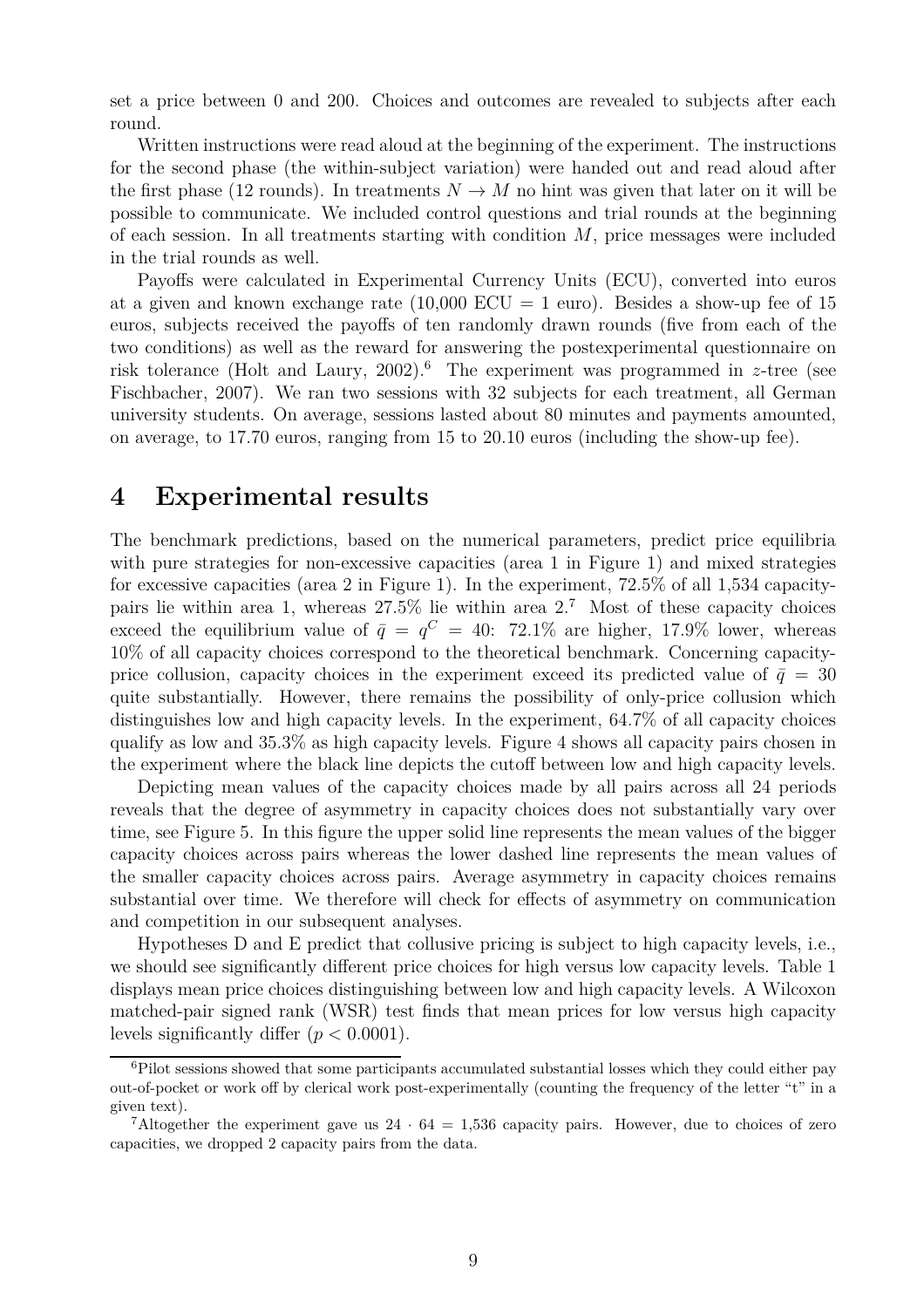set a price between 0 and 200. Choices and outcomes are revealed to subjects after each round.

Written instructions were read aloud at the beginning of the experiment. The instructions for the second phase (the within-subject variation) were handed out and read aloud after the first phase (12 rounds). In treatments  $N \to M$  no hint was given that later on it will be possible to communicate. We included control questions and trial rounds at the beginning of each session. In all treatments starting with condition *M*, price messages were included in the trial rounds as well.

Payoffs were calculated in Experimental Currency Units (ECU), converted into euros at a given and known exchange rate  $(10,000 \text{ ECU} = 1 \text{ euro})$ . Besides a show-up fee of 15 euros, subjects received the payoffs of ten randomly drawn rounds (five from each of the two conditions) as well as the reward for answering the postexperimental questionnaire on risk tolerance (Holt and Laury, 2002).<sup>6</sup> The experiment was programmed in *z*-tree (see Fischbacher, 2007). We ran two sessions with 32 subjects for each treatment, all German university students. On average, sessions lasted about 80 minutes and payments amounted, on average, to 17.70 euros, ranging from 15 to 20.10 euros (including the show-up fee).

### **4 Experimental results**

The benchmark predictions, based on the numerical parameters, predict price equilibria with pure strategies for non-excessive capacities (area 1 in Figure 1) and mixed strategies for excessive capacities (area 2 in Figure 1). In the experiment, 72.5% of all 1,534 capacitypairs lie within area 1, whereas  $27.5\%$  lie within area  $2.7$  Most of these capacity choices exceed the equilibrium value of  $\bar{q} = q^C = 40: 72.1\%$  are higher, 17.9% lower, whereas 10% of all capacity choices correspond to the theoretical benchmark. Concerning capacityprice collusion, capacity choices in the experiment exceed its predicted value of  $\bar{q} = 30$ quite substantially. However, there remains the possibility of only-price collusion which distinguishes low and high capacity levels. In the experiment, 64.7% of all capacity choices qualify as low and 35.3% as high capacity levels. Figure 4 shows all capacity pairs chosen in the experiment where the black line depicts the cutoff between low and high capacity levels.

Depicting mean values of the capacity choices made by all pairs across all 24 periods reveals that the degree of asymmetry in capacity choices does not substantially vary over time, see Figure 5. In this figure the upper solid line represents the mean values of the bigger capacity choices across pairs whereas the lower dashed line represents the mean values of the smaller capacity choices across pairs. Average asymmetry in capacity choices remains substantial over time. We therefore will check for effects of asymmetry on communication and competition in our subsequent analyses.

Hypotheses D and E predict that collusive pricing is subject to high capacity levels, i.e., we should see significantly different price choices for high versus low capacity levels. Table 1 displays mean price choices distinguishing between low and high capacity levels. A Wilcoxon matched-pair signed rank (WSR) test finds that mean prices for low versus high capacity levels significantly differ  $(p < 0.0001)$ .

 $6Pilot$  sessions showed that some participants accumulated substantial losses which they could either pay out-of-pocket or work off by clerical work post-experimentally (counting the frequency of the letter "t" in a given text).

<sup>&</sup>lt;sup>7</sup>Altogether the experiment gave us  $24 \cdot 64 = 1,536$  capacity pairs. However, due to choices of zero capacities, we dropped 2 capacity pairs from the data.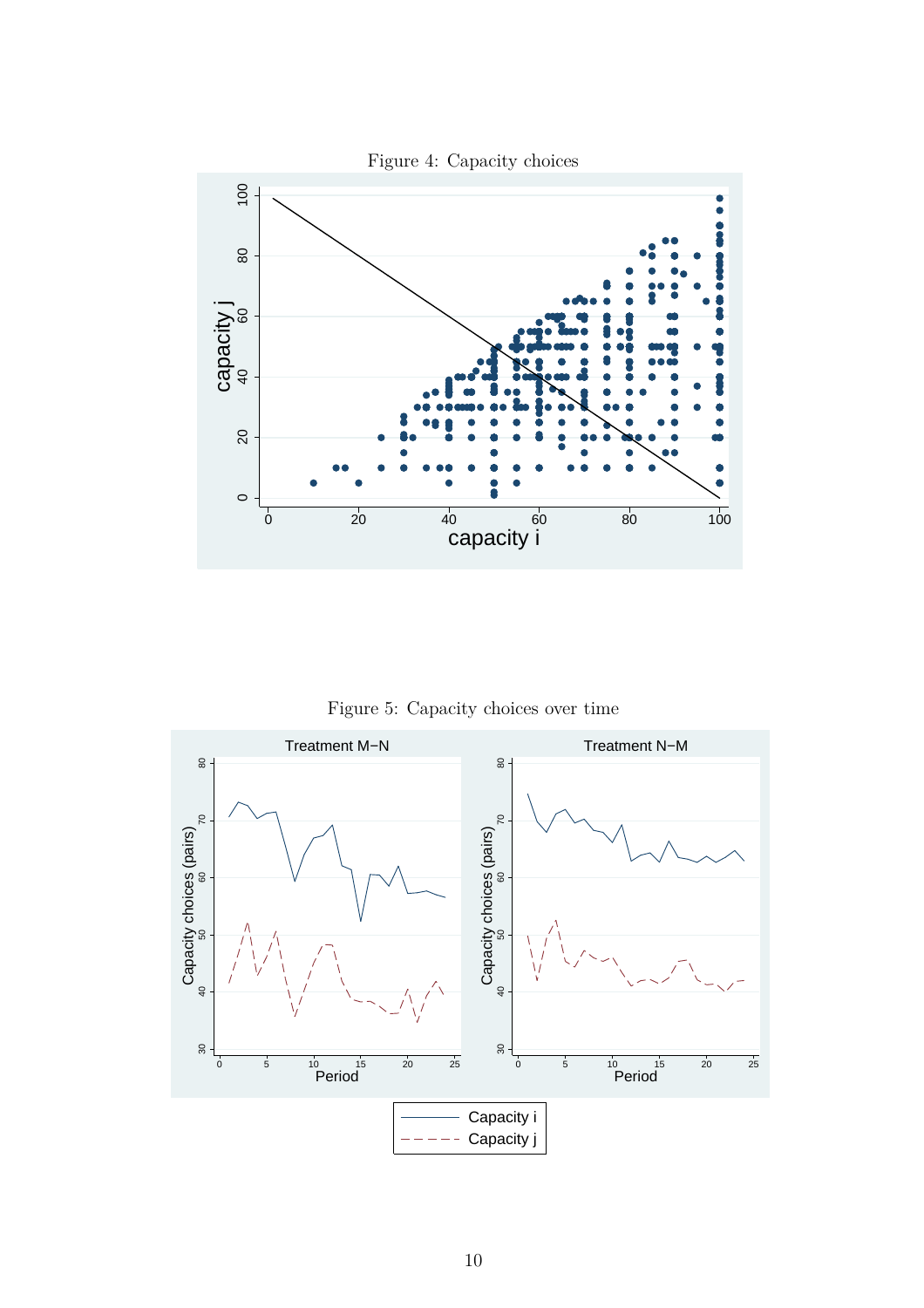

Figure 5: Capacity choices over time

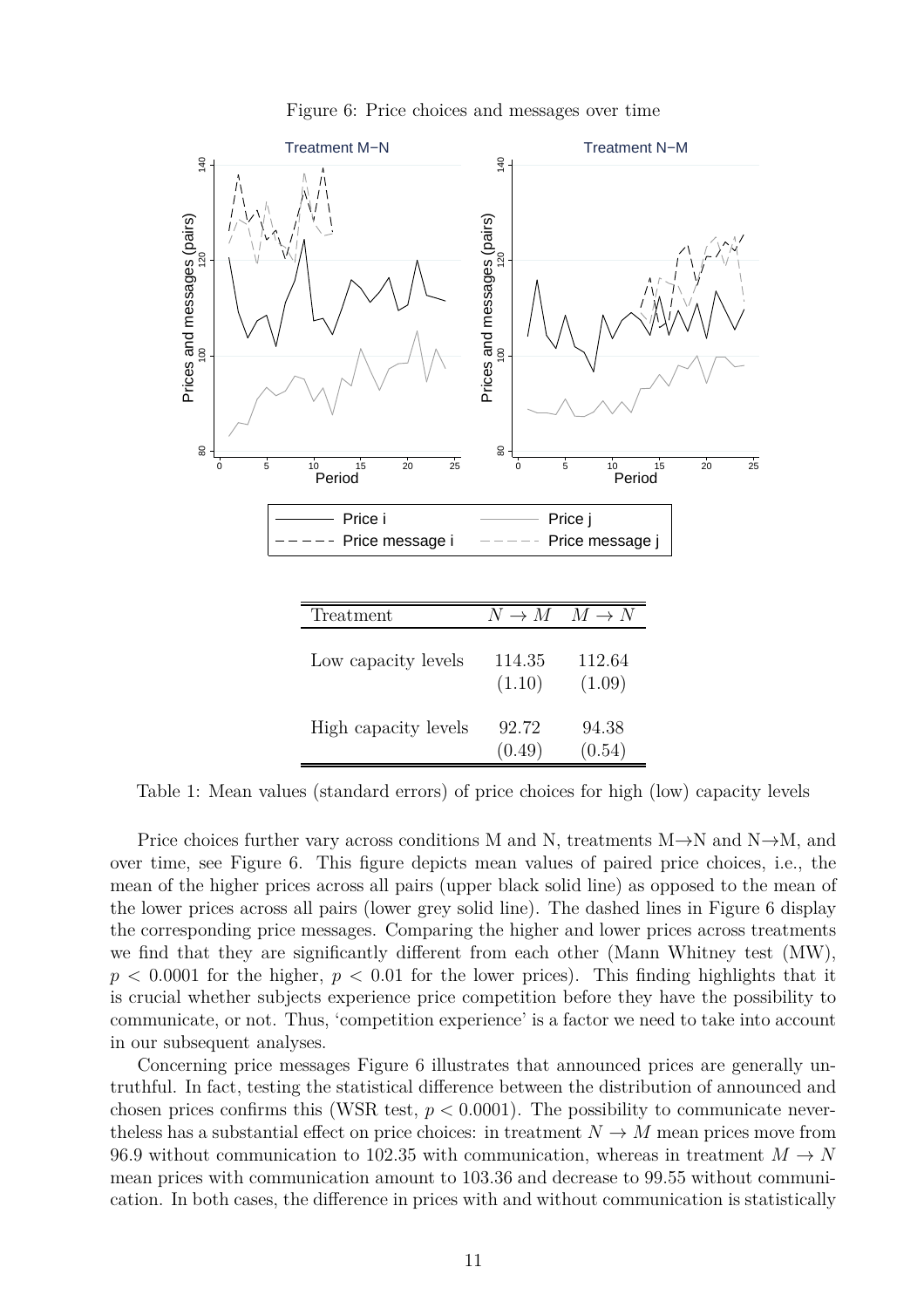

80

Prices and messages (pairs)

 $140$ 

0 5 10 15 20 25 Period

Figure 6: Price choices and messages over time

| Treatment            | $N \to M \quad M \to N$ |                  |
|----------------------|-------------------------|------------------|
| Low capacity levels  | 114.35<br>(1.10)        | 112.64<br>(1.09) |
| High capacity levels | 92.72<br>(0.49)         | 94.38<br>(0.54)  |

Price i Price j

Price message  $i \rightarrow - - - -$  Price message

 $\rm{g}$ 

0 5 10 15 20 25 Period

Table 1: Mean values (standard errors) of price choices for high (low) capacity levels

Price choices further vary across conditions M and N, treatments M $\rightarrow$ N and N $\rightarrow$ M, and over time, see Figure 6. This figure depicts mean values of paired price choices, i.e., the mean of the higher prices across all pairs (upper black solid line) as opposed to the mean of the lower prices across all pairs (lower grey solid line). The dashed lines in Figure 6 display the corresponding price messages. Comparing the higher and lower prices across treatments we find that they are significantly different from each other (Mann Whitney test (MW),  $p < 0.0001$  for the higher,  $p < 0.01$  for the lower prices). This finding highlights that it is crucial whether subjects experience price competition before they have the possibility to communicate, or not. Thus, 'competition experience' is a factor we need to take into account in our subsequent analyses.

Concerning price messages Figure 6 illustrates that announced prices are generally untruthful. In fact, testing the statistical difference between the distribution of announced and chosen prices confirms this (WSR test,  $p < 0.0001$ ). The possibility to communicate neverthe less has a substantial effect on price choices: in treatment  $N \to M$  mean prices move from 96.9 without communication to 102.35 with communication, whereas in treatment  $M \to N$ mean prices with communication amount to 103.36 and decrease to 99.55 without communication. In both cases, the difference in prices with and without communication is statistically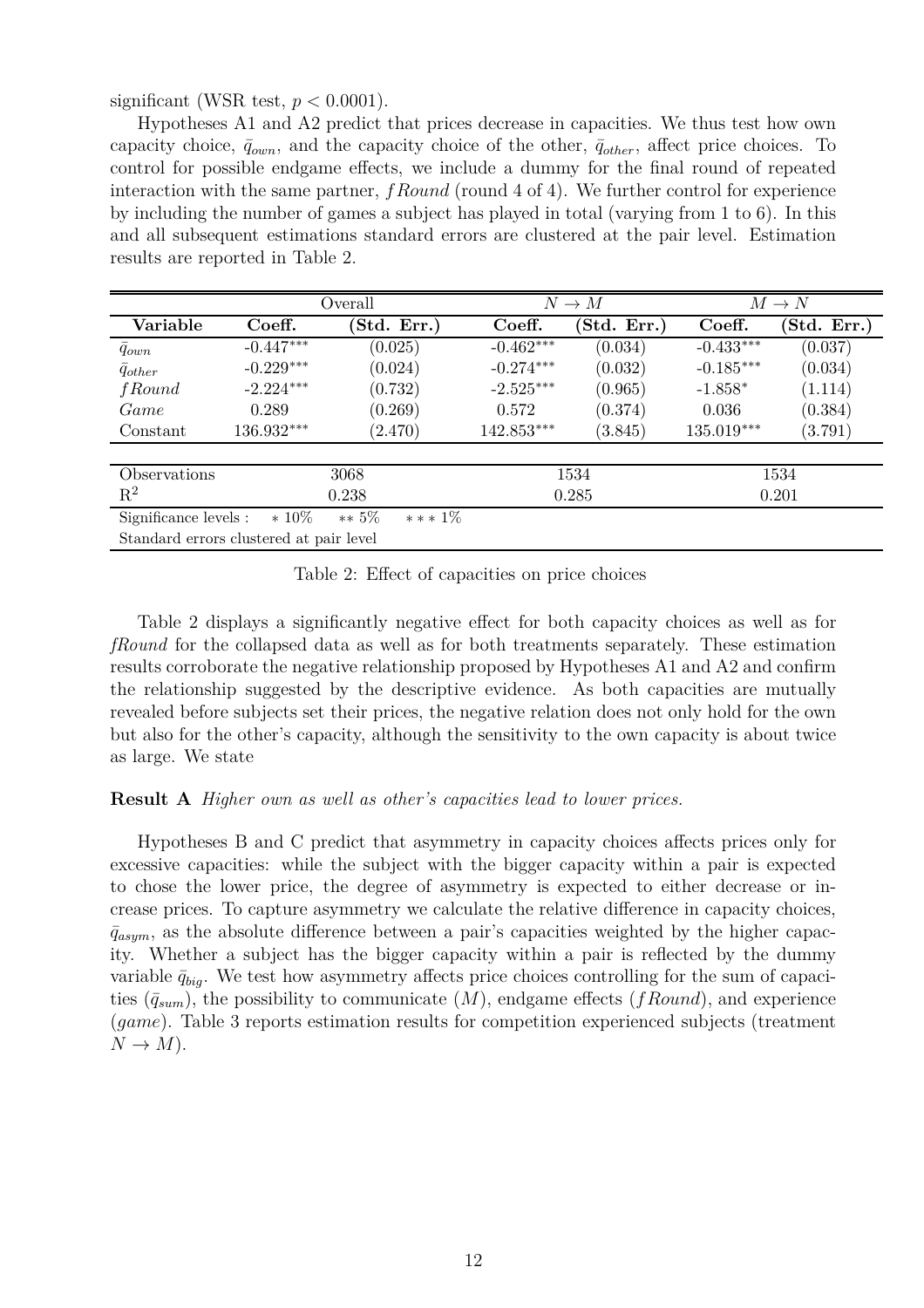significant (WSR test,  $p < 0.0001$ ).

Hypotheses A1 and A2 predict that prices decrease in capacities. We thus test how own capacity choice,  $\bar{q}_{own}$ , and the capacity choice of the other,  $\bar{q}_{other}$ , affect price choices. To control for possible endgame effects, we include a dummy for the final round of repeated interaction with the same partner, *fRound* (round 4 of 4). We further control for experience by including the number of games a subject has played in total (varying from 1 to 6). In this and all subsequent estimations standard errors are clustered at the pair level. Estimation results are reported in Table 2.

|                                         |             | Overall              |             | $N \to M$  |             | $M \to N$   |
|-----------------------------------------|-------------|----------------------|-------------|------------|-------------|-------------|
| Variable                                | Coeff.      | Std. Err.)           | Coeff.      | Std. Err.) | Coeff.      | (Std. Err.) |
| $\bar{q}_{own}$                         | $-0.447***$ | (0.025)              | $-0.462***$ | (0.034)    | $-0.433***$ | (0.037)     |
| $\bar{q}_{other}$                       | $-0.229***$ | (0.024)              | $-0.274***$ | (0.032)    | $-0.185***$ | (0.034)     |
| fRound                                  | $-2.224***$ | (0.732)              | $-2.525***$ | (0.965)    | $-1.858*$   | (1.114)     |
| Game                                    | 0.289       | (0.269)              | 0.572       | (0.374)    | 0.036       | (0.384)     |
| Constant                                | 136.932***  | (2.470)              | 142.853***  | (3.845)    | 135.019***  | (3.791)     |
|                                         |             |                      |             |            |             |             |
| Observations                            |             | 3068                 |             | 1534       |             | 1534        |
| $\mathbf{R}^2$                          |             | 0.238                |             | 0.285      |             | 0.201       |
| Significance levels :                   | $*10\%$     | $** 5\%$<br>$***1\%$ |             |            |             |             |
| Standard errors clustered at pair level |             |                      |             |            |             |             |

Table 2: Effect of capacities on price choices

Table 2 displays a significantly negative effect for both capacity choices as well as for *fRound* for the collapsed data as well as for both treatments separately. These estimation results corroborate the negative relationship proposed by Hypotheses A1 and A2 and confirm the relationship suggested by the descriptive evidence. As both capacities are mutually revealed before subjects set their prices, the negative relation does not only hold for the own but also for the other's capacity, although the sensitivity to the own capacity is about twice as large. We state

#### **Result A** *Higher own as well as other's capacities lead to lower prices.*

Hypotheses B and C predict that asymmetry in capacity choices affects prices only for excessive capacities: while the subject with the bigger capacity within a pair is expected to chose the lower price, the degree of asymmetry is expected to either decrease or increase prices. To capture asymmetry we calculate the relative difference in capacity choices,  $\bar{q}_{asym}$ , as the absolute difference between a pair's capacities weighted by the higher capacity. Whether a subject has the bigger capacity within a pair is reflected by the dummy variable  $\bar{q}_{biq}$ . We test how asymmetry affects price choices controlling for the sum of capacities  $(\bar{q}_{sum})$ , the possibility to communicate  $(M)$ , endgame effects  $(fRound)$ , and experience (*game*). Table 3 reports estimation results for competition experienced subjects (treatment  $N \rightarrow M$ ).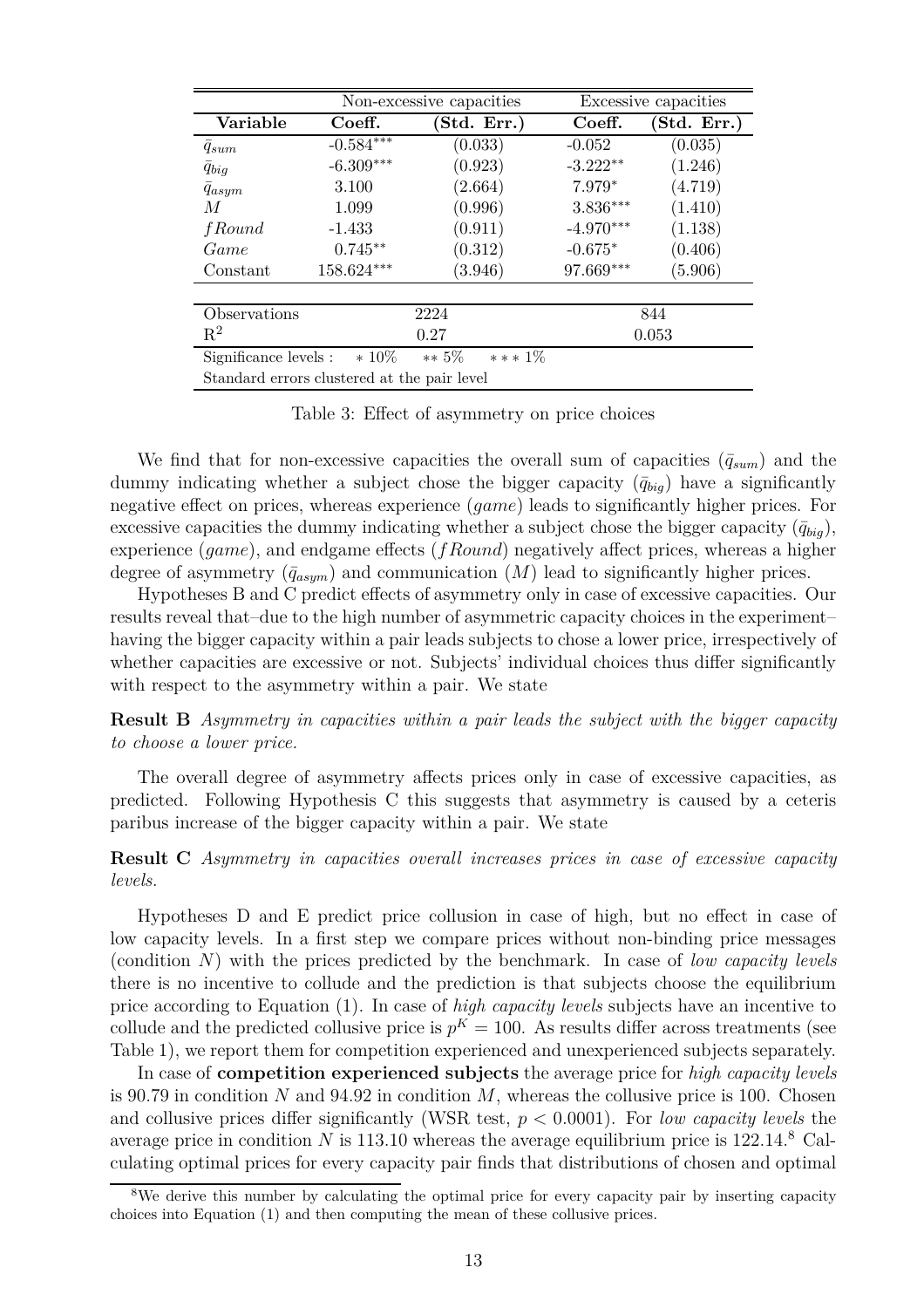|                                             |             | Non-excessive capacities |             | Excessive capacities             |
|---------------------------------------------|-------------|--------------------------|-------------|----------------------------------|
| Variable                                    | Coeff.      | Std. Err.)               | Coeff.      | $(\mathrm{Std.}\ \mathrm{Err.})$ |
| $q_{sum}$                                   | $-0.584***$ | (0.033)                  | $-0.052$    | (0.035)                          |
| $\bar{q}_{biq}$                             | $-6.309***$ | (0.923)                  | $-3.222**$  | (1.246)                          |
| $q_{asym}$                                  | 3.100       | (2.664)                  | $7.979*$    | (4.719)                          |
| М                                           | 1.099       | (0.996)                  | $3.836***$  | (1.410)                          |
| <i>f</i> Round                              | $-1.433$    | (0.911)                  | $-4.970***$ | (1.138)                          |
| Game                                        | $0.745**$   | (0.312)                  | $-0.675*$   | (0.406)                          |
| Constant                                    | 158.624***  | (3.946)                  | 97.669***   | (5.906)                          |
|                                             |             |                          |             |                                  |
| Observations                                |             | 2224                     |             | 844                              |
| $\mathbf{R}^2$                              |             | 0.27                     |             | 0.053                            |
| Significance levels :                       | $*10\%$     | $** 5\%$<br>$***1\%$     |             |                                  |
| Standard errors clustered at the pair level |             |                          |             |                                  |

Table 3: Effect of asymmetry on price choices

We find that for non-excessive capacities the overall sum of capacities  $(\bar{q}_{sum})$  and the dummy indicating whether a subject chose the bigger capacity  $(\bar{q}_{biq})$  have a significantly negative effect on prices, whereas experience (*game*) leads to significantly higher prices. For excessive capacities the dummy indicating whether a subject chose the bigger capacity  $(\bar{q}_{biq})$ , experience (*game*), and endgame effects (*fRound*) negatively affect prices, whereas a higher degree of asymmetry  $(\bar{q}_{asym})$  and communication  $(M)$  lead to significantly higher prices.

Hypotheses B and C predict effects of asymmetry only in case of excessive capacities. Our results reveal that–due to the high number of asymmetric capacity choices in the experiment– having the bigger capacity within a pair leads subjects to chose a lower price, irrespectively of whether capacities are excessive or not. Subjects' individual choices thus differ significantly with respect to the asymmetry within a pair. We state

**Result B** *Asymmetry in capacities within a pair leads the subject with the bigger capacity to choose a lower price.*

The overall degree of asymmetry affects prices only in case of excessive capacities, as predicted. Following Hypothesis C this suggests that asymmetry is caused by a ceteris paribus increase of the bigger capacity within a pair. We state

**Result C** *Asymmetry in capacities overall increases prices in case of excessive capacity levels.*

Hypotheses D and E predict price collusion in case of high, but no effect in case of low capacity levels. In a first step we compare prices without non-binding price messages (condition *N*) with the prices predicted by the benchmark. In case of *low capacity levels* there is no incentive to collude and the prediction is that subjects choose the equilibrium price according to Equation (1). In case of *high capacity levels* subjects have an incentive to collude and the predicted collusive price is  $p<sup>K</sup> = 100$ . As results differ across treatments (see Table 1), we report them for competition experienced and unexperienced subjects separately.

In case of **competition experienced subjects** the average price for *high capacity levels* is 90.79 in condition *N* and 94.92 in condition *M*, whereas the collusive price is 100. Chosen and collusive prices differ significantly (WSR test, *p <* 0*.*0001). For *low capacity levels* the average price in condition *N* is 113.10 whereas the average equilibrium price is  $122.14$ .<sup>8</sup> Calculating optimal prices for every capacity pair finds that distributions of chosen and optimal

<sup>&</sup>lt;sup>8</sup>We derive this number by calculating the optimal price for every capacity pair by inserting capacity choices into Equation (1) and then computing the mean of these collusive prices.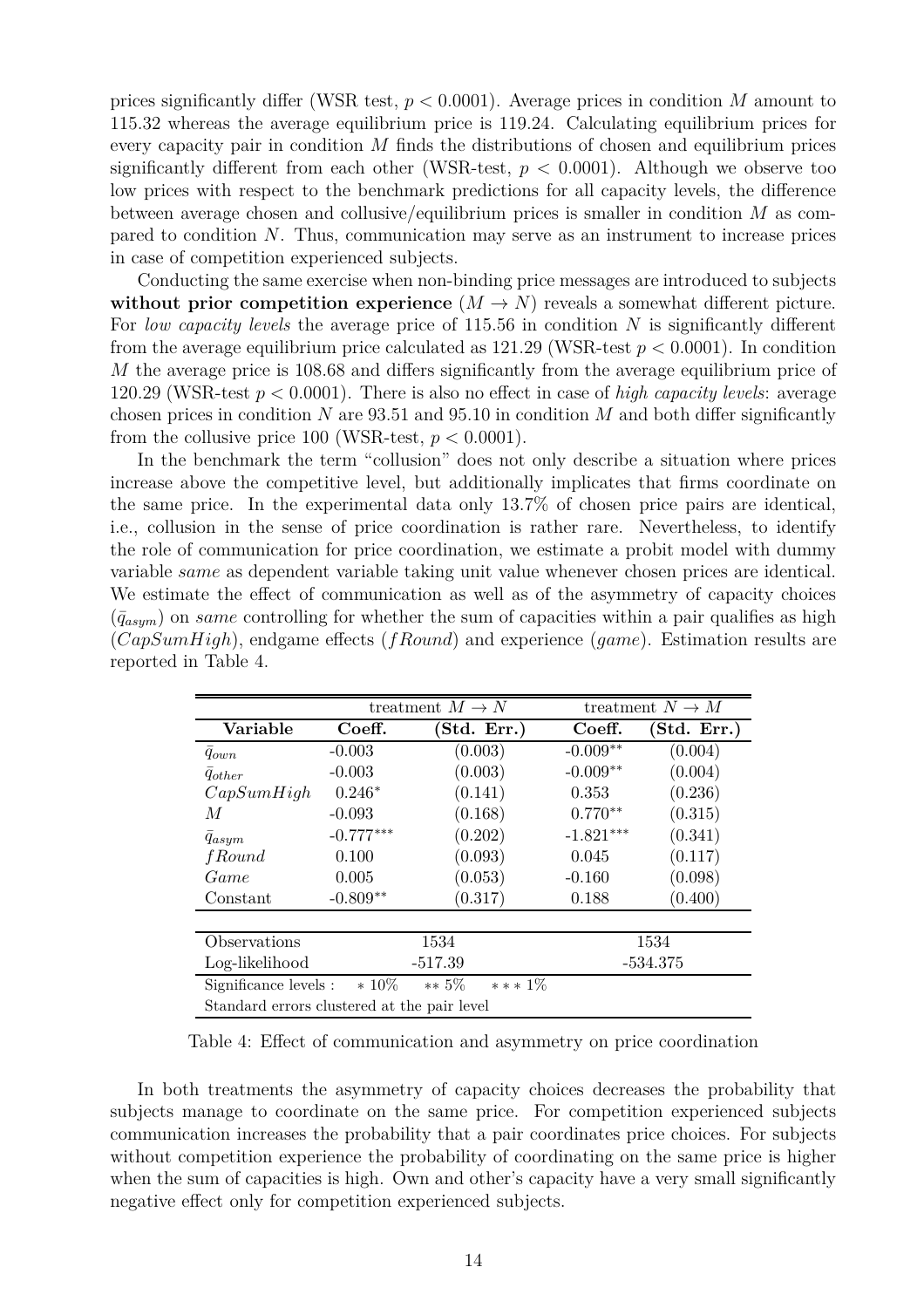prices significantly differ (WSR test, *p <* 0*.*0001). Average prices in condition *M* amount to 115.32 whereas the average equilibrium price is 119.24. Calculating equilibrium prices for every capacity pair in condition *M* finds the distributions of chosen and equilibrium prices significantly different from each other (WSR-test,  $p < 0.0001$ ). Although we observe too low prices with respect to the benchmark predictions for all capacity levels, the difference between average chosen and collusive/equilibrium prices is smaller in condition *M* as compared to condition *N*. Thus, communication may serve as an instrument to increase prices in case of competition experienced subjects.

Conducting the same exercise when non-binding price messages are introduced to subjects **without prior competition experience**  $(M \to N)$  reveals a somewhat different picture. For *low capacity levels* the average price of 115.56 in condition *N* is significantly different from the average equilibrium price calculated as  $121.29$  (WSR-test  $p < 0.0001$ ). In condition *M* the average price is 108.68 and differs significantly from the average equilibrium price of 120.29 (WSR-test *p <* 0*.*0001). There is also no effect in case of *high capacity levels*: average chosen prices in condition  $N$  are 93.51 and 95.10 in condition  $M$  and both differ significantly from the collusive price 100 (WSR-test,  $p < 0.0001$ ).

In the benchmark the term "collusion" does not only describe a situation where prices increase above the competitive level, but additionally implicates that firms coordinate on the same price. In the experimental data only 13.7% of chosen price pairs are identical, i.e., collusion in the sense of price coordination is rather rare. Nevertheless, to identify the role of communication for price coordination, we estimate a probit model with dummy variable *same* as dependent variable taking unit value whenever chosen prices are identical. We estimate the effect of communication as well as of the asymmetry of capacity choices  $(\bar{q}_{asym})$  on *same* controlling for whether the sum of capacities within a pair qualifies as high (*CapSumHigh*), endgame effects (*fRound*) and experience (*game*). Estimation results are reported in Table 4.

|                                                           | treatment $M \to N$ |            |             | treatment $N \to M$ |
|-----------------------------------------------------------|---------------------|------------|-------------|---------------------|
| Variable                                                  | Coeff.              | Std. Err.) | Coeff.      | Std. Err.)          |
| $q_{own}$                                                 | $-0.003$            | (0.003)    | $-0.009**$  | (0.004)             |
| $q_{other}$                                               | $-0.003$            | (0.003)    | $-0.009**$  | (0.004)             |
| CapSumHigh                                                | $0.246*$            | (0.141)    | 0.353       | (0.236)             |
| М                                                         | $-0.093$            | (0.168)    | $0.770**$   | (0.315)             |
| $q_{asym}$                                                | $-0.777***$         | (0.202)    | $-1.821***$ | (0.341)             |
| <i>f</i> Round                                            | 0.100               | (0.093)    | 0.045       | (0.117)             |
| Game                                                      | 0.005               | (0.053)    | $-0.160$    | (0.098)             |
| Constant                                                  | $-0.809**$          | (0.317)    | 0.188       | (0.400)             |
|                                                           |                     |            |             |                     |
| Observations                                              |                     | 1534       |             | 1534                |
| Log-likelihood                                            |                     | $-517.39$  |             | $-534.375$          |
| $*10\%$<br>$*** 1\%$<br>$** 5\%$<br>Significance levels : |                     |            |             |                     |
| Standard errors clustered at the pair level               |                     |            |             |                     |

Table 4: Effect of communication and asymmetry on price coordination

In both treatments the asymmetry of capacity choices decreases the probability that subjects manage to coordinate on the same price. For competition experienced subjects communication increases the probability that a pair coordinates price choices. For subjects without competition experience the probability of coordinating on the same price is higher when the sum of capacities is high. Own and other's capacity have a very small significantly negative effect only for competition experienced subjects.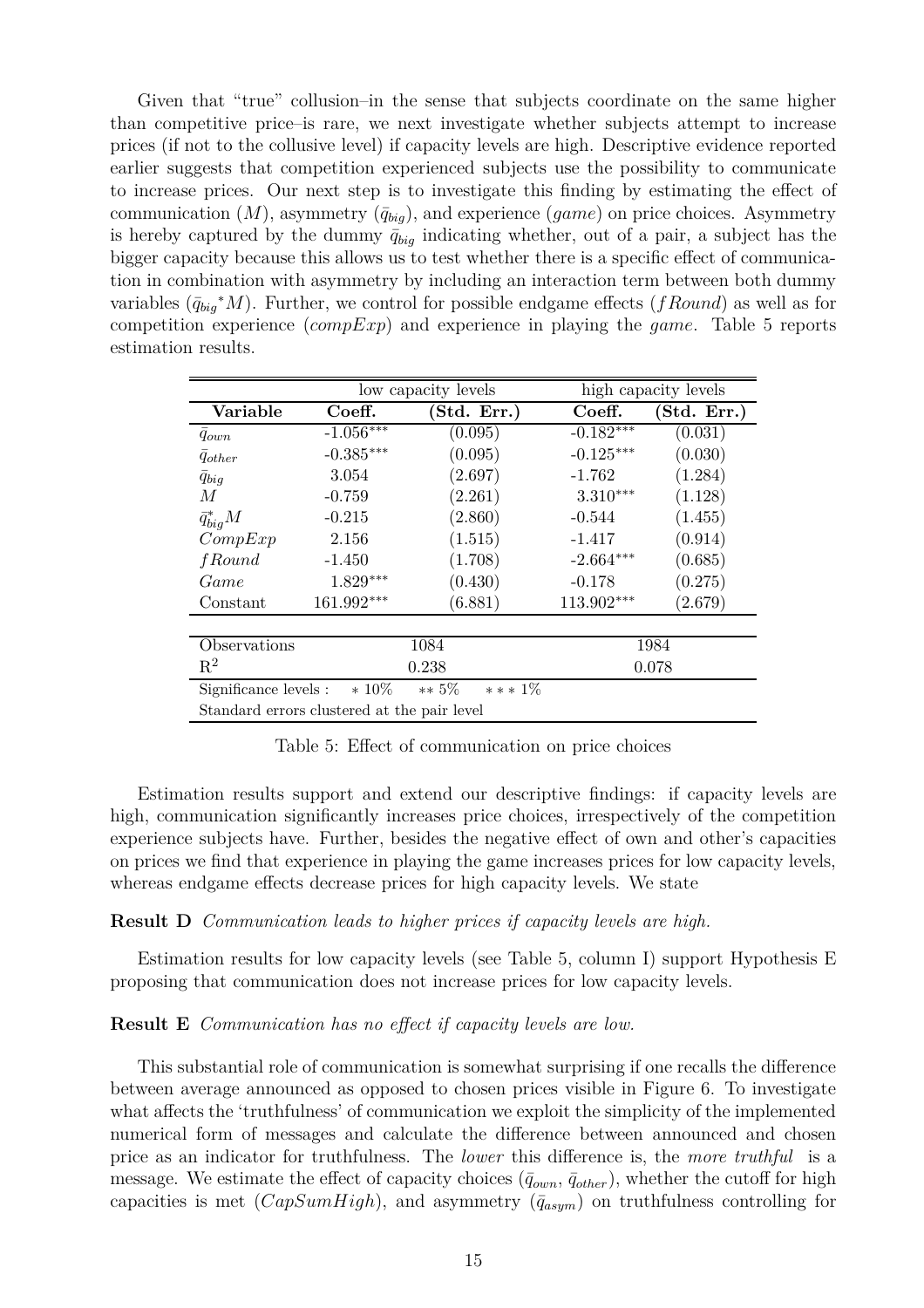Given that "true" collusion–in the sense that subjects coordinate on the same higher than competitive price–is rare, we next investigate whether subjects attempt to increase prices (if not to the collusive level) if capacity levels are high. Descriptive evidence reported earlier suggests that competition experienced subjects use the possibility to communicate to increase prices. Our next step is to investigate this finding by estimating the effect of communication  $(M)$ , asymmetry  $(\bar{q}_{bia})$ , and experience  $(game)$  on price choices. Asymmetry is hereby captured by the dummy  $\bar{q}_{biq}$  indicating whether, out of a pair, a subject has the bigger capacity because this allows us to test whether there is a specific effect of communication in combination with asymmetry by including an interaction term between both dummy variables  $(\bar{q}_{big} * M)$ . Further, we control for possible endgame effects (*fRound*) as well as for competition experience (*compExp*) and experience in playing the *game*. Table 5 reports estimation results.

|                                                           |             | low capacity levels                         |             | high capacity levels |  |
|-----------------------------------------------------------|-------------|---------------------------------------------|-------------|----------------------|--|
| Variable                                                  | Coeff.      | (Std. Err.)                                 | Coeff.      | (Std. Err.)          |  |
| $q_{own}$                                                 | $-1.056***$ | (0.095)                                     | $-0.182***$ | (0.031)              |  |
| $q_{other}$                                               | $-0.385***$ | (0.095)                                     | $-0.125***$ | (0.030)              |  |
| $\bar{q}_{big}$                                           | 3.054       | (2.697)                                     | $-1.762$    | (1.284)              |  |
| M                                                         | $-0.759$    | (2.261)                                     | $3.310***$  | (1.128)              |  |
| $\bar{q}_{biq}^*M$                                        | $-0.215$    | (2.860)                                     | $-0.544$    | (1.455)              |  |
| CompExp                                                   | 2.156       | (1.515)                                     | $-1.417$    | (0.914)              |  |
| <i>f</i> Round                                            | $-1.450$    | (1.708)                                     | $-2.664***$ | (0.685)              |  |
| Game                                                      | $1.829***$  | (0.430)                                     | $-0.178$    | (0.275)              |  |
| Constant                                                  | 161.992***  | (6.881)                                     | 113.902***  | (2.679)              |  |
|                                                           |             |                                             |             |                      |  |
| Observations                                              |             | 1084                                        |             | 1984                 |  |
| $\mathrm{R}^2$                                            |             | 0.238                                       |             | 0.078                |  |
| $*10\%$<br>$** 5\%$<br>*** $1\%$<br>Significance levels : |             |                                             |             |                      |  |
|                                                           |             | Standard errors clustered at the pair level |             |                      |  |

Table 5: Effect of communication on price choices

Estimation results support and extend our descriptive findings: if capacity levels are high, communication significantly increases price choices, irrespectively of the competition experience subjects have. Further, besides the negative effect of own and other's capacities on prices we find that experience in playing the game increases prices for low capacity levels, whereas endgame effects decrease prices for high capacity levels. We state

#### **Result D** *Communication leads to higher prices if capacity levels are high.*

Estimation results for low capacity levels (see Table 5, column I) support Hypothesis E proposing that communication does not increase prices for low capacity levels.

#### **Result E** *Communication has no effect if capacity levels are low.*

This substantial role of communication is somewhat surprising if one recalls the difference between average announced as opposed to chosen prices visible in Figure 6. To investigate what affects the 'truthfulness' of communication we exploit the simplicity of the implemented numerical form of messages and calculate the difference between announced and chosen price as an indicator for truthfulness. The *lower* this difference is, the *more truthful* is a message. We estimate the effect of capacity choices  $(\bar{q}_{own}, \bar{q}_{other})$ , whether the cutoff for high capacities is met  $(CapSumHigh)$ , and asymmetry  $(\bar{q}_{asym})$  on truthfulness controlling for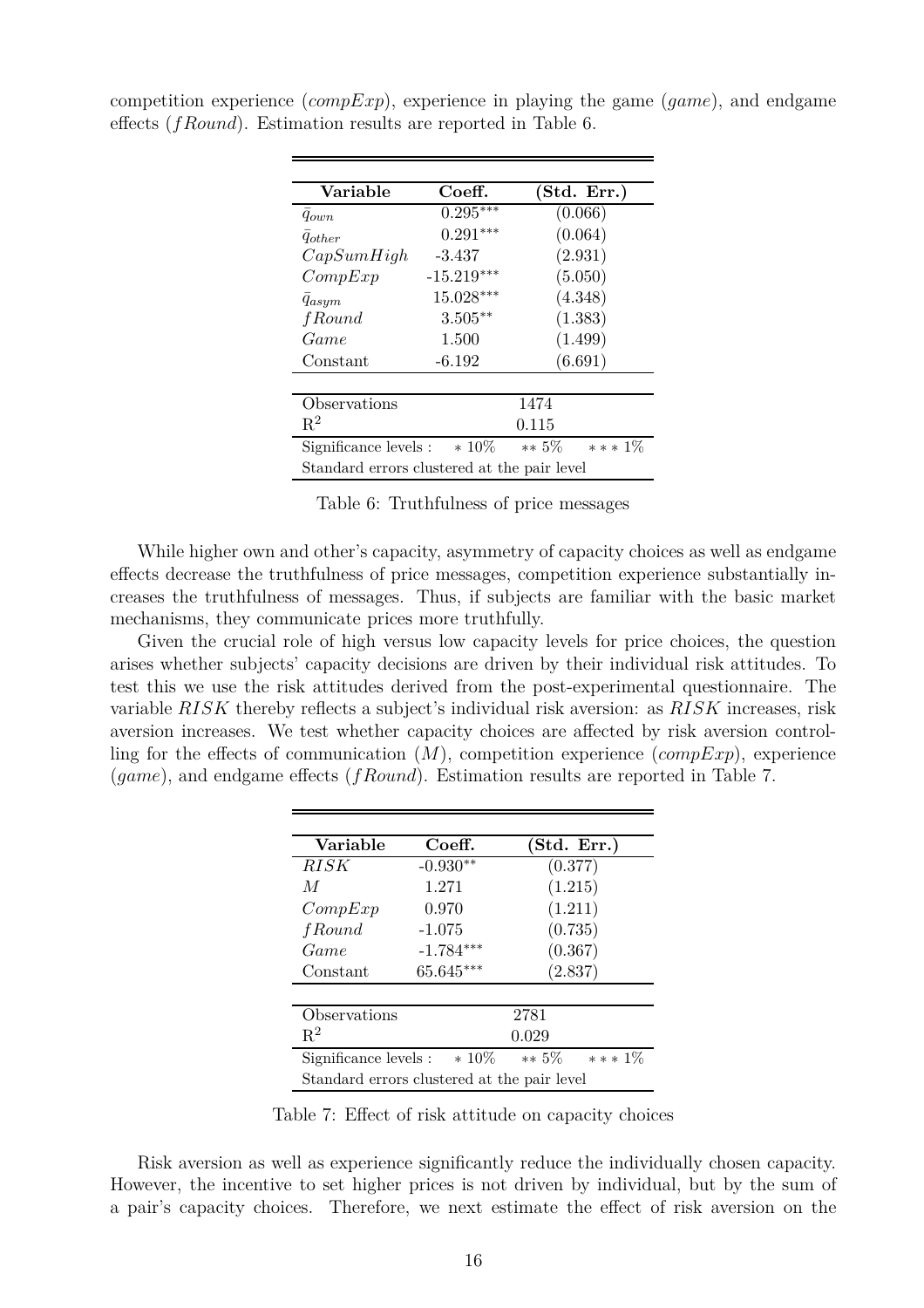| Variable                                                   | Coeff.       | (Std. Err.) |  |
|------------------------------------------------------------|--------------|-------------|--|
| $q_{own}$                                                  | $0.295***$   | (0.066)     |  |
| $q_{other}$                                                | $0.291***$   | (0.064)     |  |
| CapSumHigh                                                 | $-3.437$     | (2.931)     |  |
| CompExp                                                    | $-15.219***$ | (5.050)     |  |
| $q_{asym}$                                                 | $15.028***$  | (4.348)     |  |
| <i>f</i> Round                                             | $3.505***$   | (1.383)     |  |
| Game                                                       | 1.500        | (1.499)     |  |
| Constant                                                   | $-6.192$     | (6.691)     |  |
|                                                            |              |             |  |
| Observations                                               |              | 1474        |  |
| $R^2$                                                      |              | 0.115       |  |
| $* 10\%$<br>*** $1\%$<br>$** 5\%$<br>Significance levels : |              |             |  |
| Standard errors clustered at the pair level                |              |             |  |

competition experience (*compExp*), experience in playing the game (*game*), and endgame effects (*fRound*). Estimation results are reported in Table 6.

Table 6: Truthfulness of price messages

While higher own and other's capacity, asymmetry of capacity choices as well as endgame effects decrease the truthfulness of price messages, competition experience substantially increases the truthfulness of messages. Thus, if subjects are familiar with the basic market mechanisms, they communicate prices more truthfully.

Given the crucial role of high versus low capacity levels for price choices, the question arises whether subjects' capacity decisions are driven by their individual risk attitudes. To test this we use the risk attitudes derived from the post-experimental questionnaire. The variable *RISK* thereby reflects a subject's individual risk aversion: as *RISK* increases, risk aversion increases. We test whether capacity choices are affected by risk aversion controlling for the effects of communication (*M*), competition experience (*compExp*), experience (*game*), and endgame effects (*fRound*). Estimation results are reported in Table 7.

| Variable                                    | Coeff.      | (Std. Err.)           |
|---------------------------------------------|-------------|-----------------------|
| <i>RISK</i>                                 | $-0.930**$  | (0.377)               |
| M                                           | 1.271       | (1.215)               |
| CompExp                                     | 0.970       | (1.211)               |
| <i>f</i> Round                              | $-1.075$    | (0.735)               |
| Game                                        | $-1.784***$ | (0.367)               |
| Constant                                    | 65.645***   | (2.837)               |
|                                             |             |                       |
| Observations                                |             | 2781                  |
| $\mathbf{R}^2$                              |             | 0.029                 |
| Significance levels :                       | $* 10\%$    | $** 5\%$<br>*** $1\%$ |
| Standard errors clustered at the pair level |             |                       |

Table 7: Effect of risk attitude on capacity choices

Risk aversion as well as experience significantly reduce the individually chosen capacity. However, the incentive to set higher prices is not driven by individual, but by the sum of a pair's capacity choices. Therefore, we next estimate the effect of risk aversion on the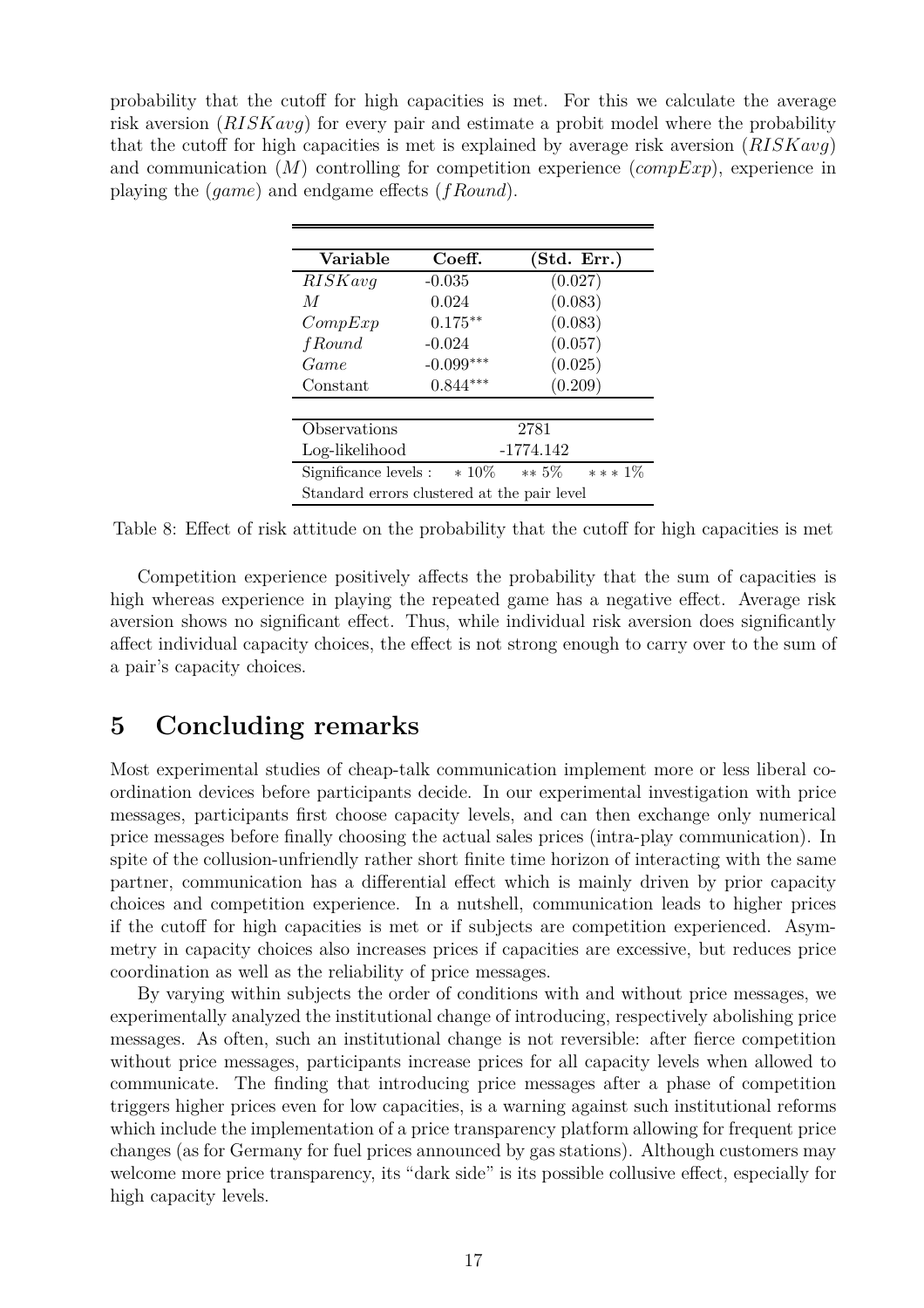probability that the cutoff for high capacities is met. For this we calculate the average risk aversion (*RISKavg*) for every pair and estimate a probit model where the probability that the cutoff for high capacities is met is explained by average risk aversion (*RISKavg*) and communication (*M*) controlling for competition experience (*compExp*), experience in playing the (*game*) and endgame effects (*fRound*).

| Variable                                              | Coeff.      | (Std. Err.) |  |
|-------------------------------------------------------|-------------|-------------|--|
| RISKavg                                               | $-0.035$    | (0.027)     |  |
| M                                                     | 0.024       | (0.083)     |  |
| CompExp                                               | $0.175***$  | (0.083)     |  |
| <i>f</i> Round                                        | $-0.024$    | (0.057)     |  |
| Game                                                  | $-0.099***$ | (0.025)     |  |
| Constant                                              | $0.844***$  | (0.209)     |  |
|                                                       |             |             |  |
| Observations                                          |             | 2781        |  |
| Log-likelihood                                        |             | $-1774.142$ |  |
| $***1\%$<br>Significance levels : $*10\%$<br>$** 5\%$ |             |             |  |
| Standard errors clustered at the pair level           |             |             |  |

Table 8: Effect of risk attitude on the probability that the cutoff for high capacities is met

Competition experience positively affects the probability that the sum of capacities is high whereas experience in playing the repeated game has a negative effect. Average risk aversion shows no significant effect. Thus, while individual risk aversion does significantly affect individual capacity choices, the effect is not strong enough to carry over to the sum of a pair's capacity choices.

### **5 Concluding remarks**

Most experimental studies of cheap-talk communication implement more or less liberal coordination devices before participants decide. In our experimental investigation with price messages, participants first choose capacity levels, and can then exchange only numerical price messages before finally choosing the actual sales prices (intra-play communication). In spite of the collusion-unfriendly rather short finite time horizon of interacting with the same partner, communication has a differential effect which is mainly driven by prior capacity choices and competition experience. In a nutshell, communication leads to higher prices if the cutoff for high capacities is met or if subjects are competition experienced. Asymmetry in capacity choices also increases prices if capacities are excessive, but reduces price coordination as well as the reliability of price messages.

By varying within subjects the order of conditions with and without price messages, we experimentally analyzed the institutional change of introducing, respectively abolishing price messages. As often, such an institutional change is not reversible: after fierce competition without price messages, participants increase prices for all capacity levels when allowed to communicate. The finding that introducing price messages after a phase of competition triggers higher prices even for low capacities, is a warning against such institutional reforms which include the implementation of a price transparency platform allowing for frequent price changes (as for Germany for fuel prices announced by gas stations). Although customers may welcome more price transparency, its "dark side" is its possible collusive effect, especially for high capacity levels.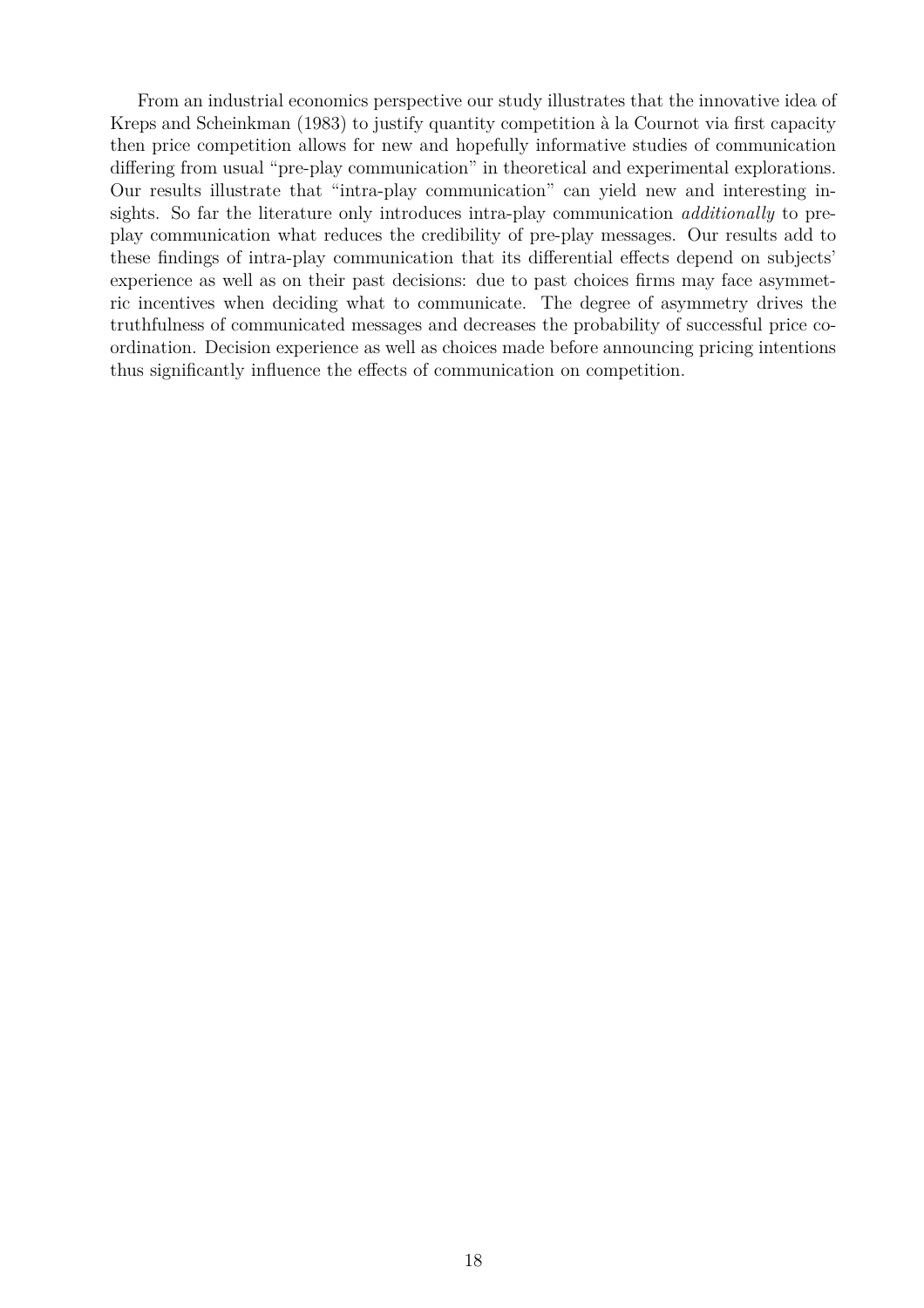From an industrial economics perspective our study illustrates that the innovative idea of Kreps and Scheinkman (1983) to justify quantity competition à la Cournot via first capacity then price competition allows for new and hopefully informative studies of communication differing from usual "pre-play communication" in theoretical and experimental explorations. Our results illustrate that "intra-play communication" can yield new and interesting insights. So far the literature only introduces intra-play communication *additionally* to preplay communication what reduces the credibility of pre-play messages. Our results add to these findings of intra-play communication that its differential effects depend on subjects' experience as well as on their past decisions: due to past choices firms may face asymmetric incentives when deciding what to communicate. The degree of asymmetry drives the truthfulness of communicated messages and decreases the probability of successful price coordination. Decision experience as well as choices made before announcing pricing intentions thus significantly influence the effects of communication on competition.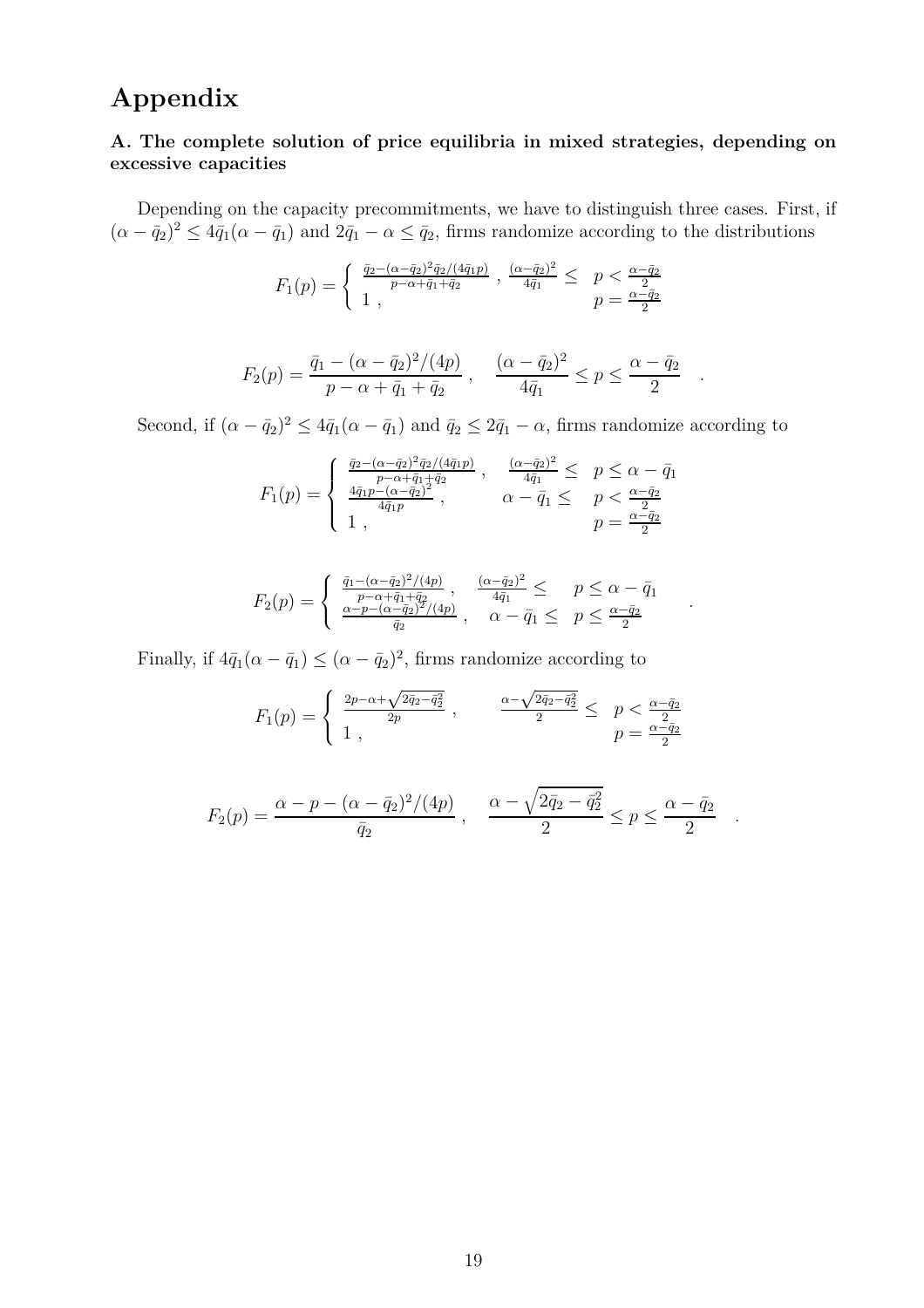## **Appendix**

#### **A. The complete solution of price equilibria in mixed strategies, depending on excessive capacities**

Depending on the capacity precommitments, we have to distinguish three cases. First, if  $(\alpha - \bar{q}_2)^2 \leq 4\bar{q}_1(\alpha - \bar{q}_1)$  and  $2\bar{q}_1 - \alpha \leq \bar{q}_2$ , firms randomize according to the distributions

$$
F_1(p) = \begin{cases} \frac{\bar{q}_2 - (\alpha - \bar{q}_2)^2 \bar{q}_2 / (4\bar{q}_1 p)}{p - \alpha + \bar{q}_1 + \bar{q}_2} , \frac{(\alpha - \bar{q}_2)^2}{4\bar{q}_1} \leq p < \frac{\alpha - \bar{q}_2}{2} \\ 1 , & p = \frac{\alpha - \bar{q}_2}{2} \end{cases}
$$

$$
F_2(p) = \frac{\bar{q}_1 - (\alpha - \bar{q}_2)^2/(4p)}{p - \alpha + \bar{q}_1 + \bar{q}_2} , \quad \frac{(\alpha - \bar{q}_2)^2}{4\bar{q}_1} \le p \le \frac{\alpha - \bar{q}_2}{2}
$$

*.*

*.*

*.*

Second, if  $(\alpha - \bar{q}_2)^2 \leq 4\bar{q}_1(\alpha - \bar{q}_1)$  and  $\bar{q}_2 \leq 2\bar{q}_1 - \alpha$ , firms randomize according to

$$
F_1(p) = \begin{cases} \frac{\bar{q}_2 - (\alpha - \bar{q}_2)^2 \bar{q}_2 / (4\bar{q}_1 p)}{p - \alpha + \bar{q}_1 + \bar{q}_2} , & \frac{(\alpha - \bar{q}_2)^2}{4\bar{q}_1} \le p \le \alpha - \bar{q}_1 \\ \frac{4\bar{q}_1 p - (\alpha - \bar{q}_2)^2}{4\bar{q}_1 p} , & \alpha - \bar{q}_1 \le p < \frac{\alpha - \bar{q}_2}{2} \\ 1 , & p = \frac{\alpha - \bar{q}_2}{2} \end{cases}
$$

$$
F_2(p) = \begin{cases} \frac{\bar{q}_1 - (\alpha - \bar{q}_2)^2/(4p)}{p - \alpha + \bar{q}_1 + \bar{q}_2}, & \frac{(\alpha - \bar{q}_2)^2}{4\bar{q}_1} \leq p \leq \alpha - \bar{q}_1\\ \frac{\alpha - p - (\alpha - \bar{q}_2)^2/(4p)}{\bar{q}_2}, & \alpha - \bar{q}_1 \leq p \leq \frac{\alpha - \bar{q}_2}{2} \end{cases}
$$

Finally, if  $4\bar{q}_1(\alpha - \bar{q}_1) \leq (\alpha - \bar{q}_2)^2$ , firms randomize according to

$$
F_1(p) = \begin{cases} \frac{2p - \alpha + \sqrt{2\bar{q}_2 - \bar{q}_2^2}}{2p} , & \frac{\alpha - \sqrt{2\bar{q}_2 - \bar{q}_2^2}}{2} \leq p < \frac{\alpha - \bar{q}_2}{2} \\ 1 , & p = \frac{\alpha - \bar{q}_2}{2} \end{cases}
$$

$$
F_2(p) = \frac{\alpha - p - (\alpha - \bar{q}_2)^2/(4p)}{\bar{q}_2} , \quad \frac{\alpha - \sqrt{2\bar{q}_2 - \bar{q}_2^2}}{2} \le p \le \frac{\alpha - \bar{q}_2}{2}
$$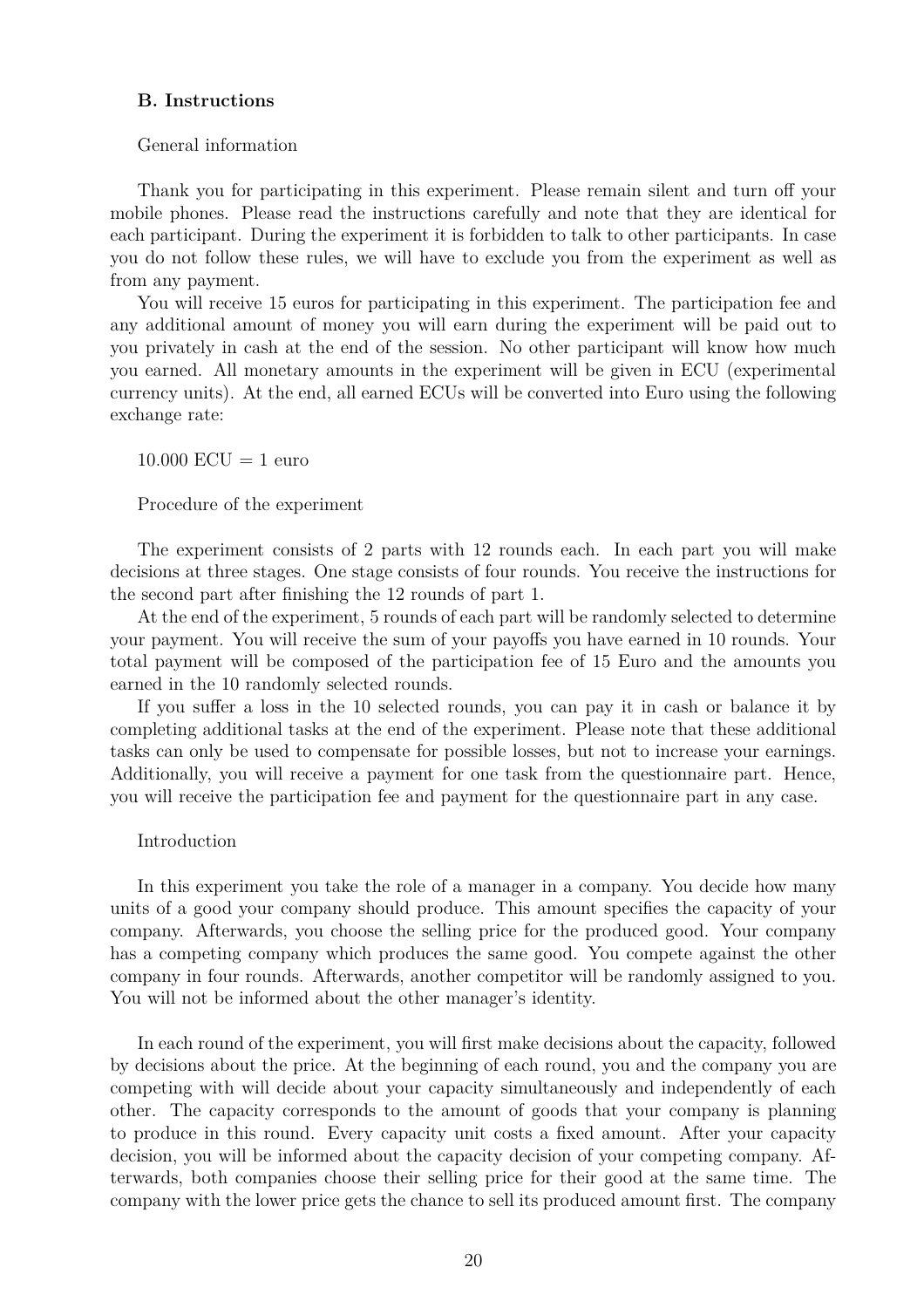#### **B. Instructions**

#### General information

Thank you for participating in this experiment. Please remain silent and turn off your mobile phones. Please read the instructions carefully and note that they are identical for each participant. During the experiment it is forbidden to talk to other participants. In case you do not follow these rules, we will have to exclude you from the experiment as well as from any payment.

You will receive 15 euros for participating in this experiment. The participation fee and any additional amount of money you will earn during the experiment will be paid out to you privately in cash at the end of the session. No other participant will know how much you earned. All monetary amounts in the experiment will be given in ECU (experimental currency units). At the end, all earned ECUs will be converted into Euro using the following exchange rate:

 $10.000$  ECU = 1 euro

Procedure of the experiment

The experiment consists of 2 parts with 12 rounds each. In each part you will make decisions at three stages. One stage consists of four rounds. You receive the instructions for the second part after finishing the 12 rounds of part 1.

At the end of the experiment, 5 rounds of each part will be randomly selected to determine your payment. You will receive the sum of your payoffs you have earned in 10 rounds. Your total payment will be composed of the participation fee of 15 Euro and the amounts you earned in the 10 randomly selected rounds.

If you suffer a loss in the 10 selected rounds, you can pay it in cash or balance it by completing additional tasks at the end of the experiment. Please note that these additional tasks can only be used to compensate for possible losses, but not to increase your earnings. Additionally, you will receive a payment for one task from the questionnaire part. Hence, you will receive the participation fee and payment for the questionnaire part in any case.

#### Introduction

In this experiment you take the role of a manager in a company. You decide how many units of a good your company should produce. This amount specifies the capacity of your company. Afterwards, you choose the selling price for the produced good. Your company has a competing company which produces the same good. You compete against the other company in four rounds. Afterwards, another competitor will be randomly assigned to you. You will not be informed about the other manager's identity.

In each round of the experiment, you will first make decisions about the capacity, followed by decisions about the price. At the beginning of each round, you and the company you are competing with will decide about your capacity simultaneously and independently of each other. The capacity corresponds to the amount of goods that your company is planning to produce in this round. Every capacity unit costs a fixed amount. After your capacity decision, you will be informed about the capacity decision of your competing company. Afterwards, both companies choose their selling price for their good at the same time. The company with the lower price gets the chance to sell its produced amount first. The company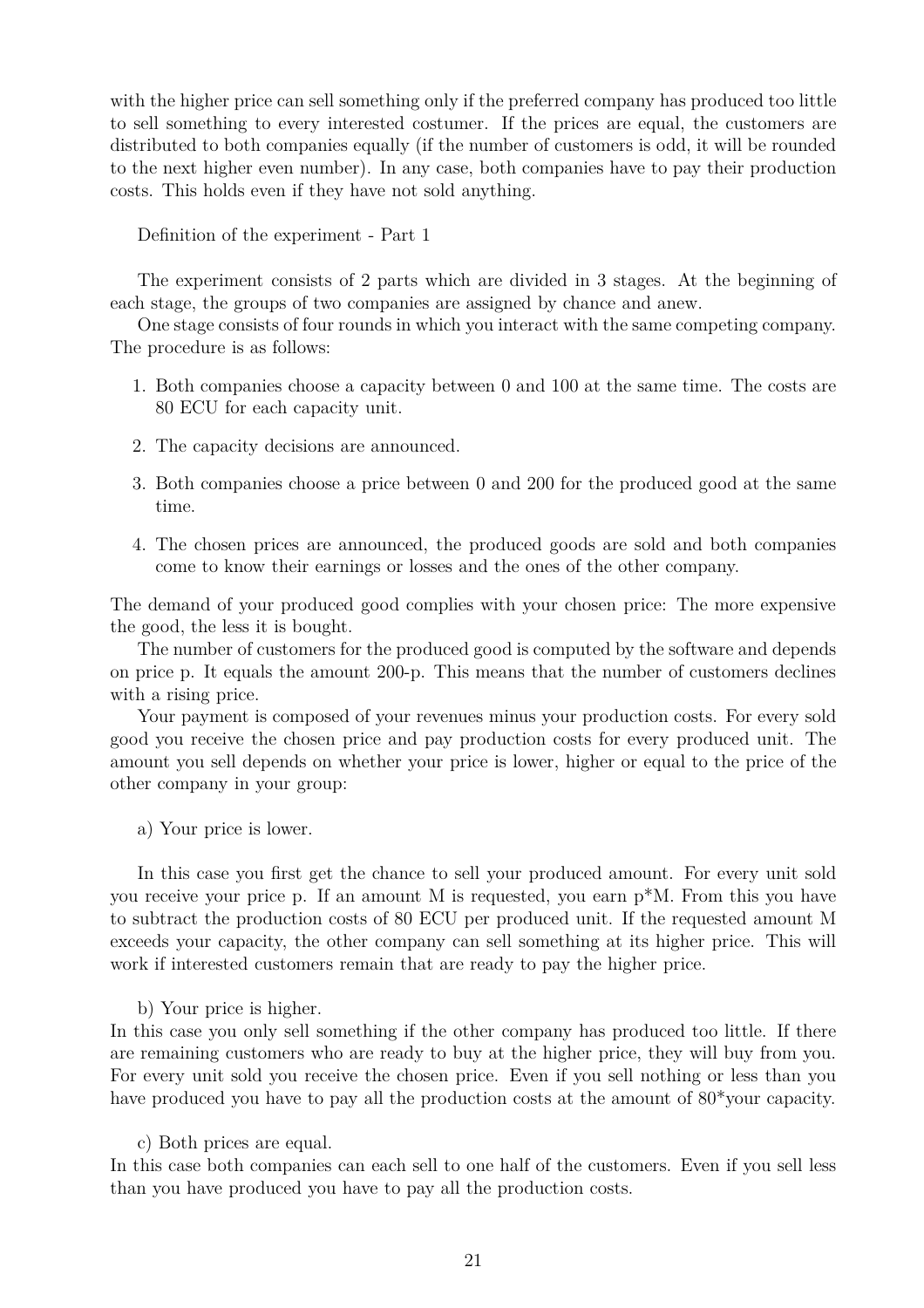with the higher price can sell something only if the preferred company has produced too little to sell something to every interested costumer. If the prices are equal, the customers are distributed to both companies equally (if the number of customers is odd, it will be rounded to the next higher even number). In any case, both companies have to pay their production costs. This holds even if they have not sold anything.

Definition of the experiment - Part 1

The experiment consists of 2 parts which are divided in 3 stages. At the beginning of each stage, the groups of two companies are assigned by chance and anew.

One stage consists of four rounds in which you interact with the same competing company. The procedure is as follows:

- 1. Both companies choose a capacity between 0 and 100 at the same time. The costs are 80 ECU for each capacity unit.
- 2. The capacity decisions are announced.
- 3. Both companies choose a price between 0 and 200 for the produced good at the same time.
- 4. The chosen prices are announced, the produced goods are sold and both companies come to know their earnings or losses and the ones of the other company.

The demand of your produced good complies with your chosen price: The more expensive the good, the less it is bought.

The number of customers for the produced good is computed by the software and depends on price p. It equals the amount 200-p. This means that the number of customers declines with a rising price.

Your payment is composed of your revenues minus your production costs. For every sold good you receive the chosen price and pay production costs for every produced unit. The amount you sell depends on whether your price is lower, higher or equal to the price of the other company in your group:

a) Your price is lower.

In this case you first get the chance to sell your produced amount. For every unit sold you receive your price p. If an amount M is requested, you earn p\*M. From this you have to subtract the production costs of 80 ECU per produced unit. If the requested amount M exceeds your capacity, the other company can sell something at its higher price. This will work if interested customers remain that are ready to pay the higher price.

b) Your price is higher.

In this case you only sell something if the other company has produced too little. If there are remaining customers who are ready to buy at the higher price, they will buy from you. For every unit sold you receive the chosen price. Even if you sell nothing or less than you have produced you have to pay all the production costs at the amount of 80\*your capacity.

c) Both prices are equal.

In this case both companies can each sell to one half of the customers. Even if you sell less than you have produced you have to pay all the production costs.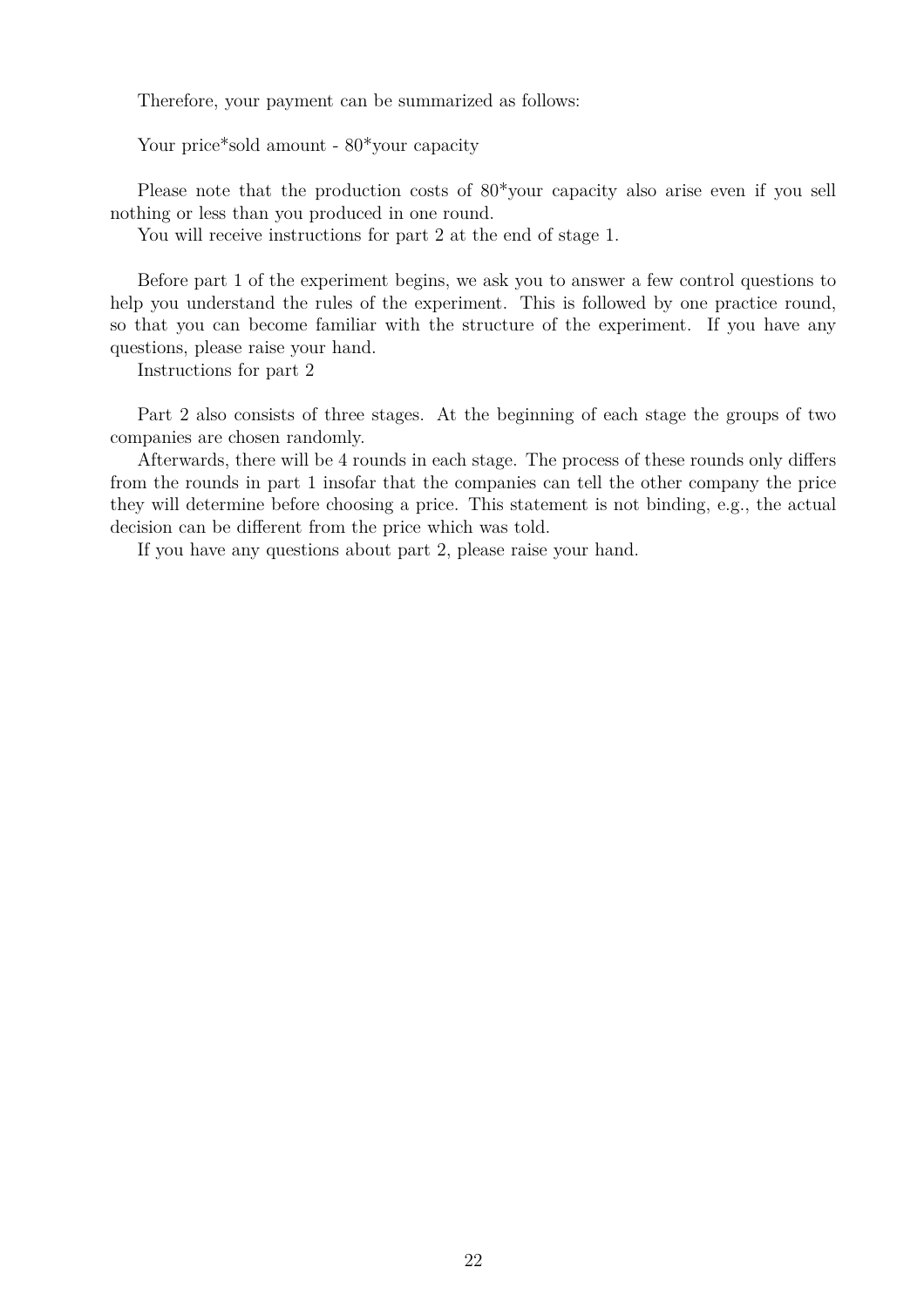Therefore, your payment can be summarized as follows:

Your price\*sold amount -  $80*$ your capacity

Please note that the production costs of 80\*your capacity also arise even if you sell nothing or less than you produced in one round.

You will receive instructions for part 2 at the end of stage 1.

Before part 1 of the experiment begins, we ask you to answer a few control questions to help you understand the rules of the experiment. This is followed by one practice round, so that you can become familiar with the structure of the experiment. If you have any questions, please raise your hand.

Instructions for part 2

Part 2 also consists of three stages. At the beginning of each stage the groups of two companies are chosen randomly.

Afterwards, there will be 4 rounds in each stage. The process of these rounds only differs from the rounds in part 1 insofar that the companies can tell the other company the price they will determine before choosing a price. This statement is not binding, e.g., the actual decision can be different from the price which was told.

If you have any questions about part 2, please raise your hand.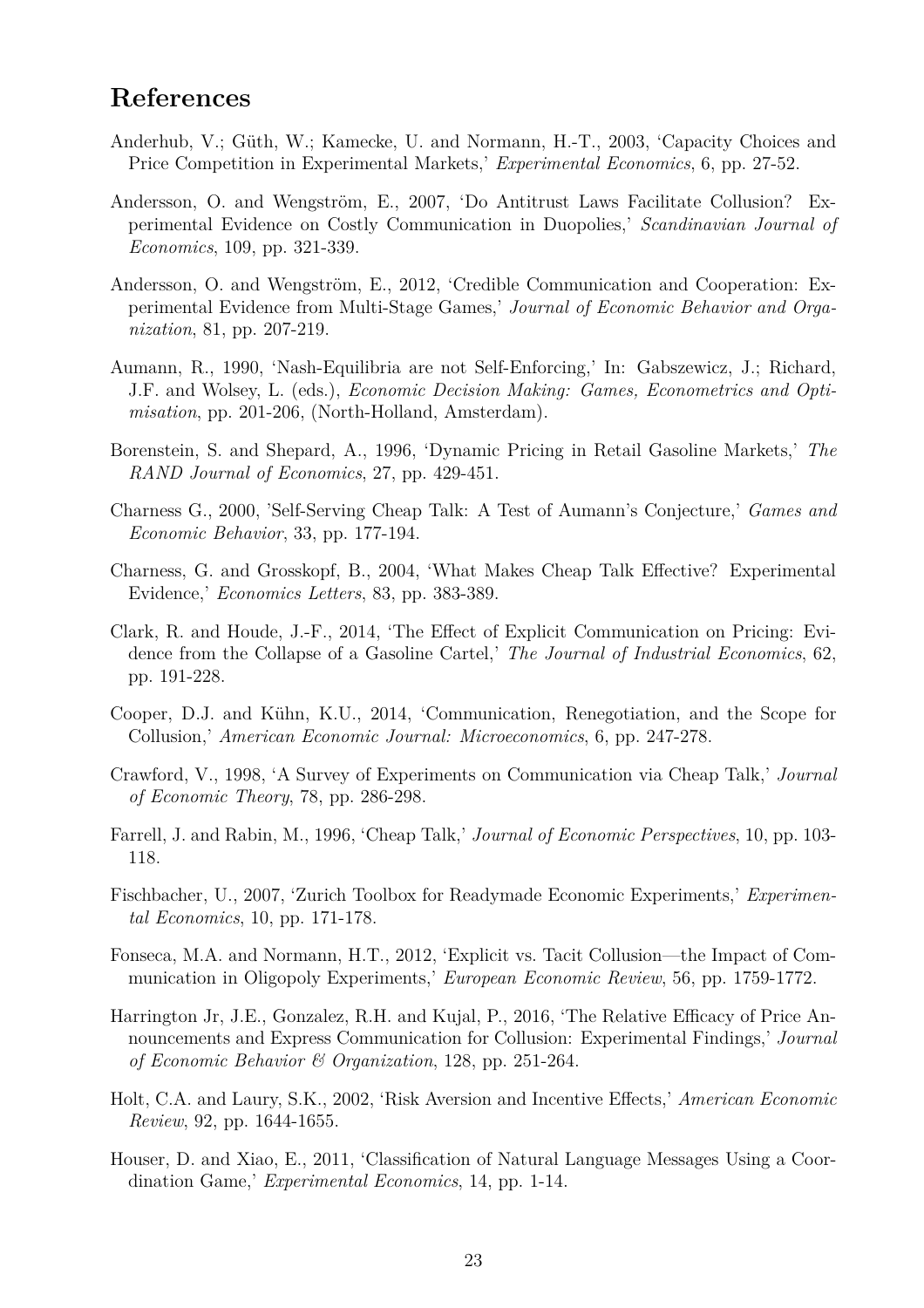### **References**

- Anderhub, V.; Güth, W.; Kamecke, U. and Normann, H.-T., 2003, 'Capacity Choices and Price Competition in Experimental Markets,' *Experimental Economics*, 6, pp. 27-52.
- Andersson, O. and Wengström, E., 2007, 'Do Antitrust Laws Facilitate Collusion? Experimental Evidence on Costly Communication in Duopolies,' *Scandinavian Journal of Economics*, 109, pp. 321-339.
- Andersson, O. and Wengström, E., 2012, 'Credible Communication and Cooperation: Experimental Evidence from Multi-Stage Games,' *Journal of Economic Behavior and Organization*, 81, pp. 207-219.
- Aumann, R., 1990, 'Nash-Equilibria are not Self-Enforcing,' In: Gabszewicz, J.; Richard, J.F. and Wolsey, L. (eds.), *Economic Decision Making: Games, Econometrics and Optimisation*, pp. 201-206, (North-Holland, Amsterdam).
- Borenstein, S. and Shepard, A., 1996, 'Dynamic Pricing in Retail Gasoline Markets,' *The RAND Journal of Economics*, 27, pp. 429-451.
- Charness G., 2000, 'Self-Serving Cheap Talk: A Test of Aumann's Conjecture,' *Games and Economic Behavior*, 33, pp. 177-194.
- Charness, G. and Grosskopf, B., 2004, 'What Makes Cheap Talk Effective? Experimental Evidence,' *Economics Letters*, 83, pp. 383-389.
- Clark, R. and Houde, J.-F., 2014, 'The Effect of Explicit Communication on Pricing: Evidence from the Collapse of a Gasoline Cartel,' *The Journal of Industrial Economics*, 62, pp. 191-228.
- Cooper, D.J. and Kühn, K.U., 2014, 'Communication, Renegotiation, and the Scope for Collusion,' *American Economic Journal: Microeconomics*, 6, pp. 247-278.
- Crawford, V., 1998, 'A Survey of Experiments on Communication via Cheap Talk,' *Journal of Economic Theory*, 78, pp. 286-298.
- Farrell, J. and Rabin, M., 1996, 'Cheap Talk,' *Journal of Economic Perspectives*, 10, pp. 103- 118.
- Fischbacher, U., 2007, 'Zurich Toolbox for Readymade Economic Experiments,' *Experimental Economics*, 10, pp. 171-178.
- Fonseca, M.A. and Normann, H.T., 2012, 'Explicit vs. Tacit Collusion—the Impact of Communication in Oligopoly Experiments,' *European Economic Review*, 56, pp. 1759-1772.
- Harrington Jr, J.E., Gonzalez, R.H. and Kujal, P., 2016, 'The Relative Efficacy of Price Announcements and Express Communication for Collusion: Experimental Findings,' *Journal of Economic Behavior & Organization*, 128, pp. 251-264.
- Holt, C.A. and Laury, S.K., 2002, 'Risk Aversion and Incentive Effects,' *American Economic Review*, 92, pp. 1644-1655.
- Houser, D. and Xiao, E., 2011, 'Classification of Natural Language Messages Using a Coordination Game,' *Experimental Economics*, 14, pp. 1-14.